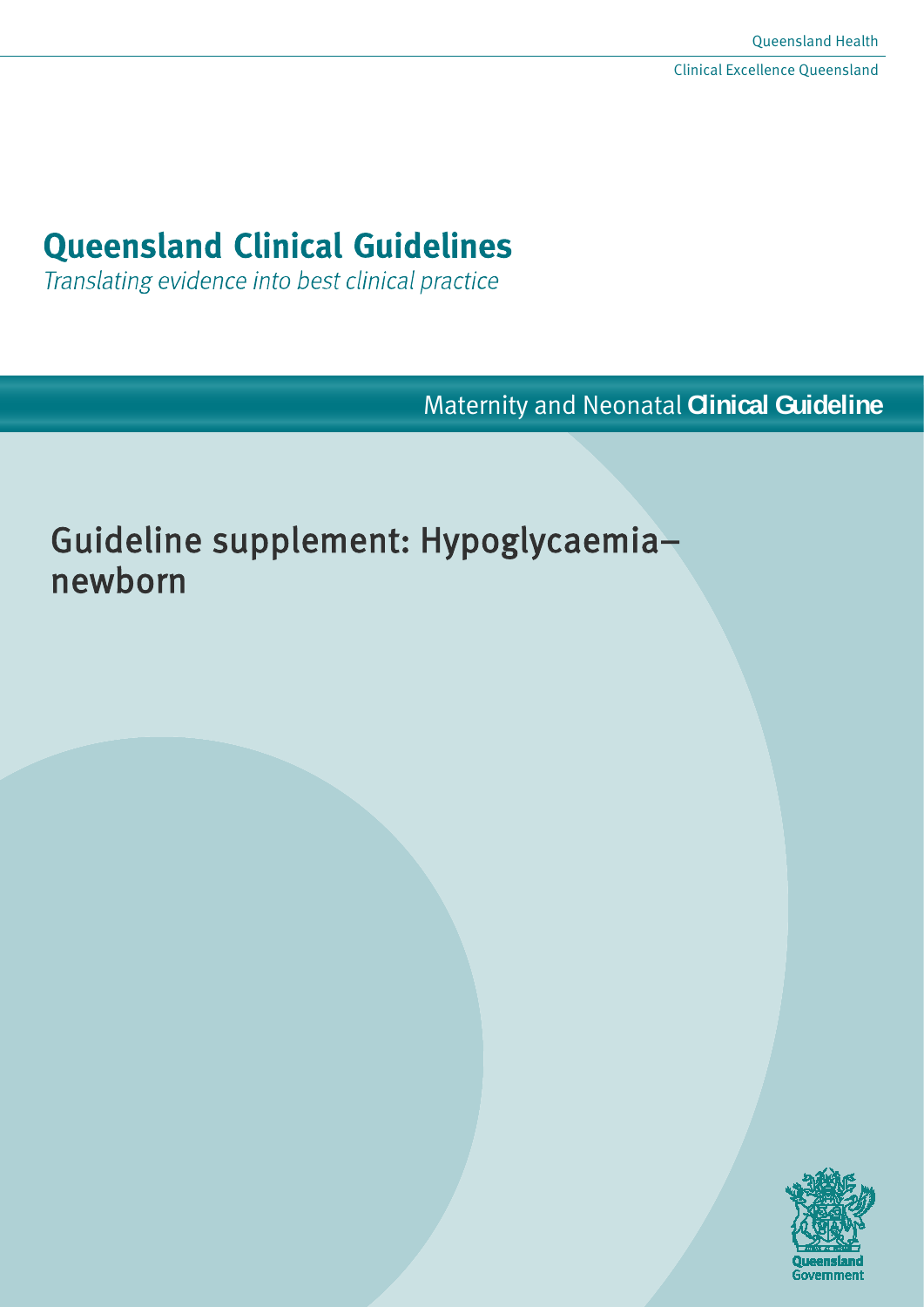# **Queensland Clinical Guidelines**

Translating evidence into best clinical practice

Maternity and Neonatal **Clinical Guideline**

# Guideline supplement: Hypoglycaemia– newborn

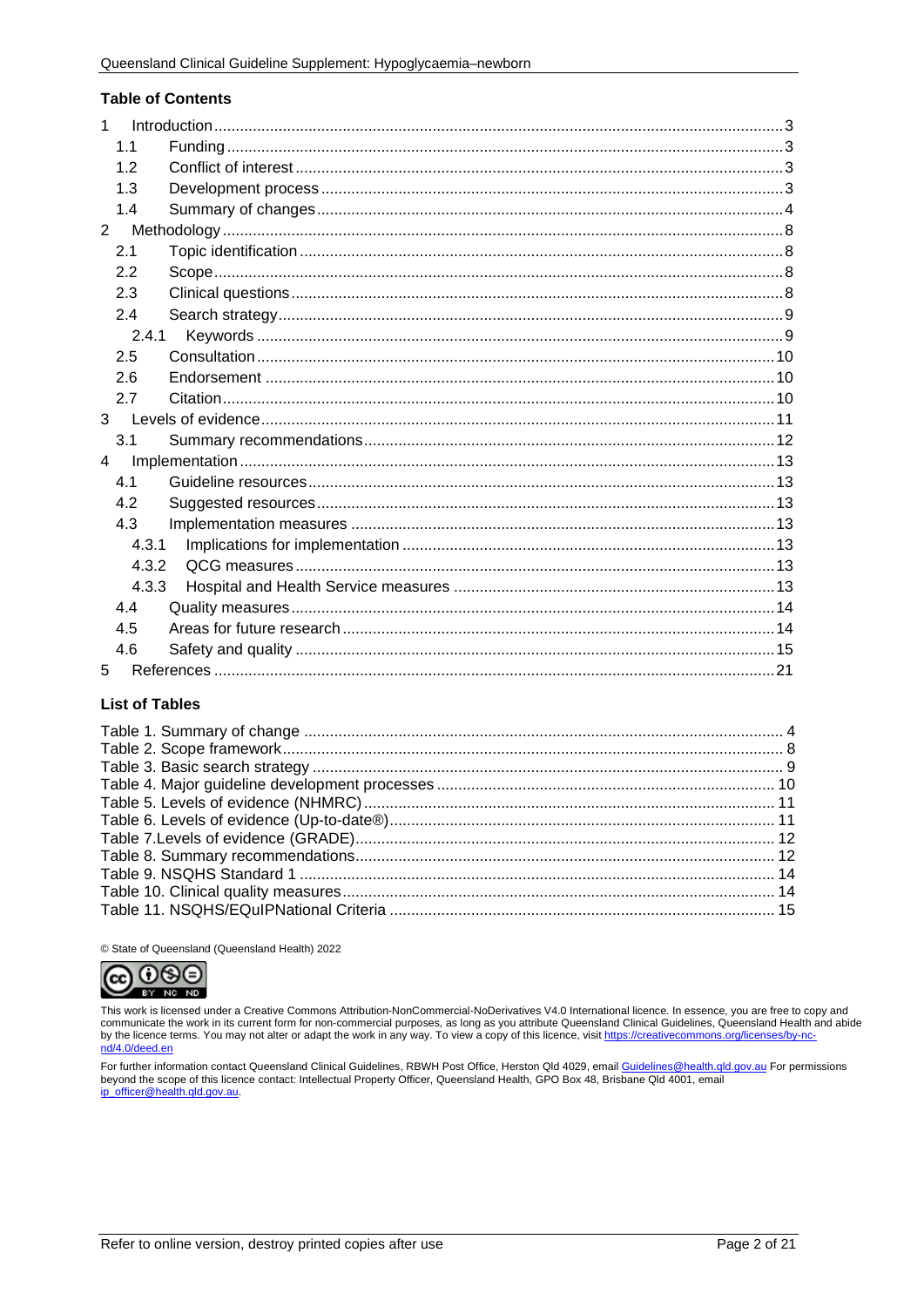#### **Table of Contents**

| $\mathbf{1}$   |       |  |
|----------------|-------|--|
|                | 1.1   |  |
|                | 1.2   |  |
|                | 1.3   |  |
|                | 1.4   |  |
| $\overline{2}$ |       |  |
|                | 2.1   |  |
|                | 2.2   |  |
|                | 2.3   |  |
|                | 2.4   |  |
|                | 2.4.1 |  |
|                | 2.5   |  |
|                | 2.6   |  |
|                | 2.7   |  |
|                |       |  |
|                | 3.1   |  |
| $\overline{4}$ |       |  |
|                | 4.1   |  |
|                | 4.2   |  |
|                | 4.3   |  |
|                | 4.3.1 |  |
|                | 4.3.2 |  |
|                | 4.3.3 |  |
|                | 4.4   |  |
|                | 4.5   |  |
|                | 4.6   |  |
| 5              |       |  |

### **List of Tables**

© State of Queensland (Queensland Health) 2022



This work is licensed under a Creative Commons Attribution-NonCommercial-NoDerivatives V4.0 International licence. In essence, you are free to copy and communicate the work in its current form for non-commercial purposes, as long as you attribute Queensland Clinical Guidelines, Queensland Health and abide by the licence terms. You may not alter or adapt the work in any way. To view a copy of this licence, visit https://creativecommons.org/licenses/by-no nd/4.0/deed.en

For further information contact Queensland Clinical Guidelines, RBWH Post Office, Herston Qld 4029, email Guidelines@health.qld.gov.au For permissions beyond the scope of this licence contact: Intellectual Property Officer, Queensland Health, GPO Box 48, Brisbane Qld 4001, email ip\_officer@health.qld.gov.au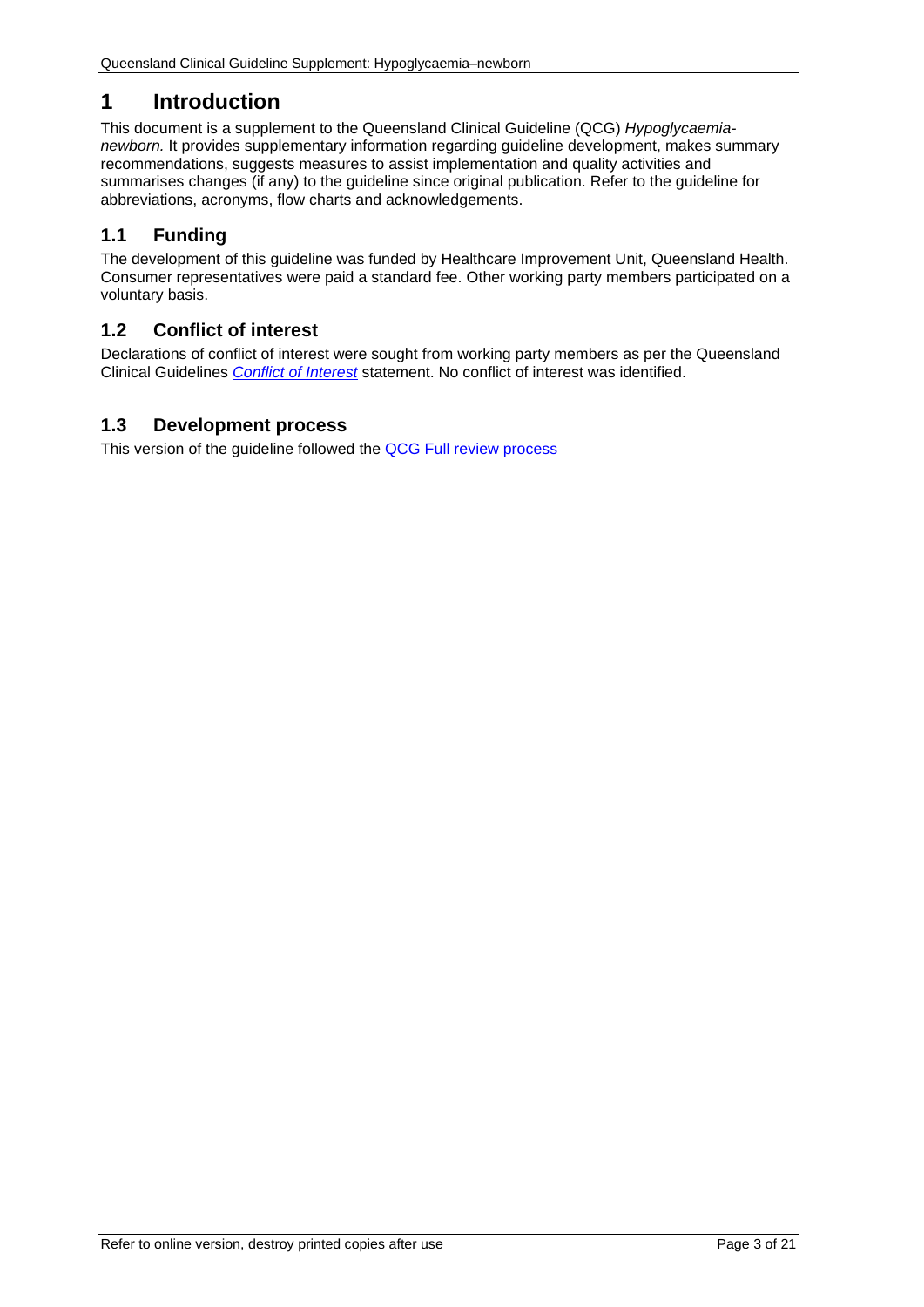# <span id="page-2-0"></span>**1 Introduction**

This document is a supplement to the Queensland Clinical Guideline (QCG) *Hypoglycaemianewborn.* It provides supplementary information regarding guideline development, makes summary recommendations, suggests measures to assist implementation and quality activities and summarises changes (if any) to the guideline since original publication. Refer to the guideline for abbreviations, acronyms, flow charts and acknowledgements.

# <span id="page-2-1"></span>**1.1 Funding**

The development of this guideline was funded by Healthcare Improvement Unit, Queensland Health. Consumer representatives were paid a standard fee. Other working party members participated on a voluntary basis.

## <span id="page-2-2"></span>**1.2 Conflict of interest**

Declarations of conflict of interest were sought from working party members as per the Queensland Clinical Guidelines *[Conflict of Interest](http://www.health.qld.gov.au/qcg/development#coi)* statement. No conflict of interest was identified.

## <span id="page-2-3"></span>**1.3 Development process**

This version of the guideline followed the [QCG Full review](https://www.health.qld.gov.au/__data/assets/pdf_file/0025/364723/o-developprocess.pdf) process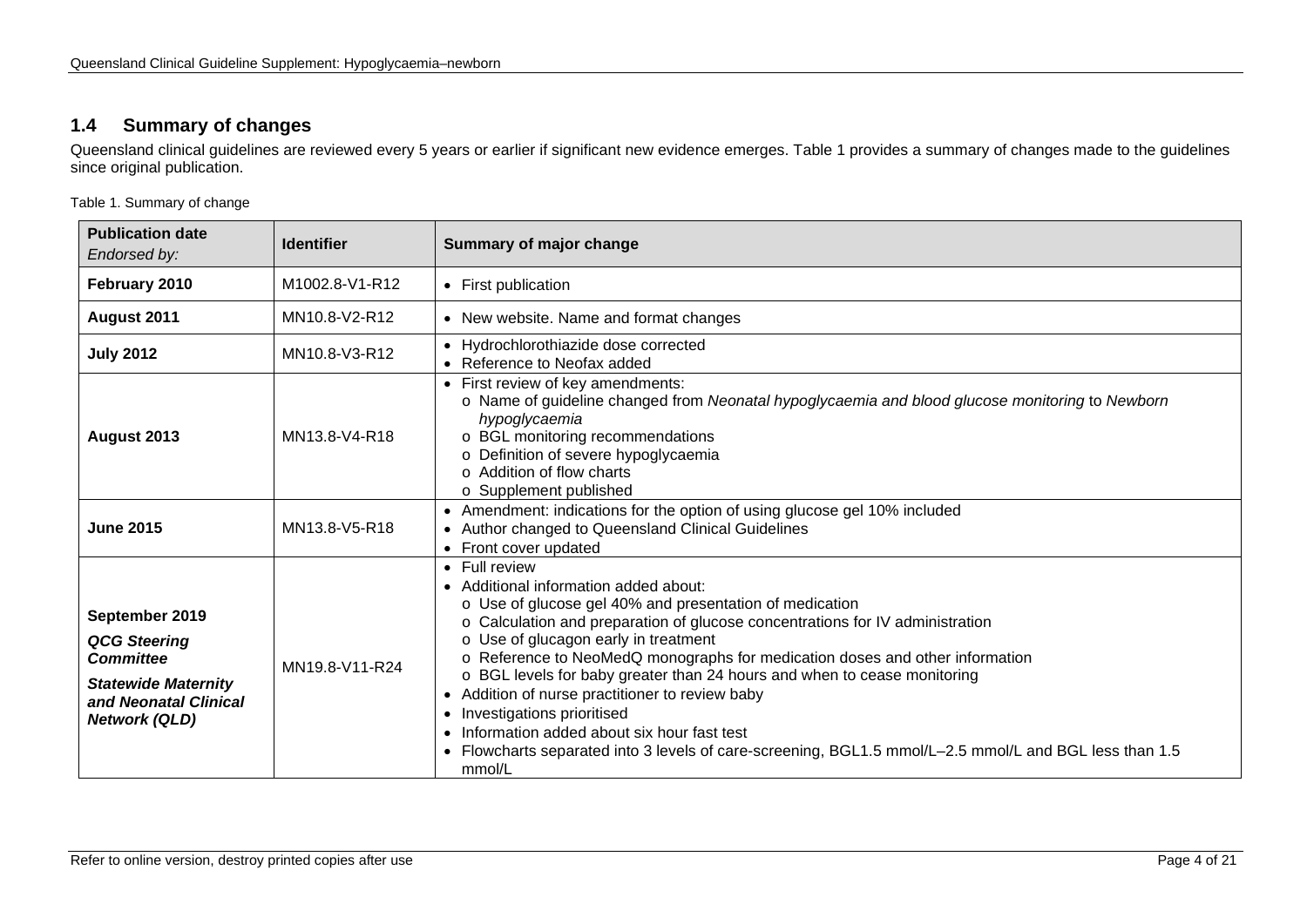## **1.4 Summary of changes**

Queensland clinical guidelines are reviewed every 5 years or earlier if significant new evidence emerges. [Table 1](#page-3-2) provides a summary of changes made to the guidelines since original publication.

<span id="page-3-2"></span>Table 1. Summary of change

<span id="page-3-1"></span><span id="page-3-0"></span>

| <b>Publication date</b><br>Endorsed by:                                                                                                  | <b>Identifier</b> | Summary of major change                                                                                                                                                                                                                                                                                                                                                                                                                                                                                                                                                                                                                                 |
|------------------------------------------------------------------------------------------------------------------------------------------|-------------------|---------------------------------------------------------------------------------------------------------------------------------------------------------------------------------------------------------------------------------------------------------------------------------------------------------------------------------------------------------------------------------------------------------------------------------------------------------------------------------------------------------------------------------------------------------------------------------------------------------------------------------------------------------|
| February 2010                                                                                                                            | M1002.8-V1-R12    | • First publication                                                                                                                                                                                                                                                                                                                                                                                                                                                                                                                                                                                                                                     |
| August 2011                                                                                                                              | MN10.8-V2-R12     | • New website. Name and format changes                                                                                                                                                                                                                                                                                                                                                                                                                                                                                                                                                                                                                  |
| <b>July 2012</b>                                                                                                                         | MN10.8-V3-R12     | • Hydrochlorothiazide dose corrected<br>• Reference to Neofax added                                                                                                                                                                                                                                                                                                                                                                                                                                                                                                                                                                                     |
| August 2013                                                                                                                              | MN13.8-V4-R18     | • First review of key amendments:<br>o Name of guideline changed from Neonatal hypoglycaemia and blood glucose monitoring to Newborn<br>hypoglycaemia<br>o BGL monitoring recommendations<br>o Definition of severe hypoglycaemia<br>o Addition of flow charts<br>o Supplement published                                                                                                                                                                                                                                                                                                                                                                |
| <b>June 2015</b>                                                                                                                         | MN13.8-V5-R18     | • Amendment: indications for the option of using glucose gel 10% included<br>• Author changed to Queensland Clinical Guidelines<br>• Front cover updated                                                                                                                                                                                                                                                                                                                                                                                                                                                                                                |
| September 2019<br><b>QCG Steering</b><br><b>Committee</b><br><b>Statewide Maternity</b><br>and Neonatal Clinical<br><b>Network (QLD)</b> | MN19.8-V11-R24    | • Full review<br>• Additional information added about:<br>o Use of glucose gel 40% and presentation of medication<br>o Calculation and preparation of glucose concentrations for IV administration<br>o Use of glucagon early in treatment<br>o Reference to NeoMedQ monographs for medication doses and other information<br>o BGL levels for baby greater than 24 hours and when to cease monitoring<br>• Addition of nurse practitioner to review baby<br>Investigations prioritised<br>Information added about six hour fast test<br>Flowcharts separated into 3 levels of care-screening, BGL1.5 mmol/L-2.5 mmol/L and BGL less than 1.5<br>mmol/L |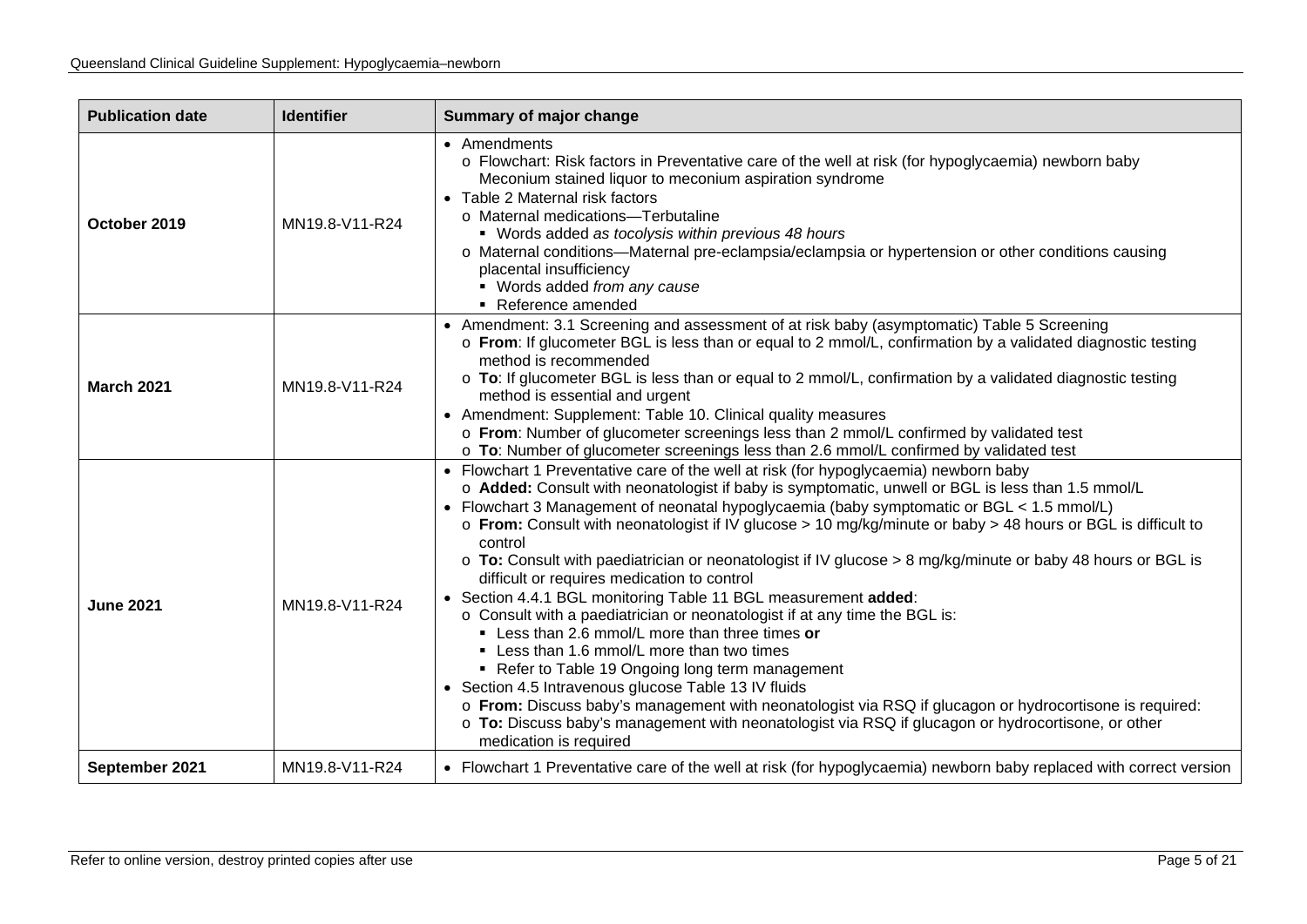| <b>Publication date</b> | <b>Identifier</b> | <b>Summary of major change</b>                                                                                                                                                                                                                                                                                                                                                                                                                                                                                                                                                                                                                                                                                                                                                                                                                                                                                                                                                                                                                                                                                                                                                          |  |
|-------------------------|-------------------|-----------------------------------------------------------------------------------------------------------------------------------------------------------------------------------------------------------------------------------------------------------------------------------------------------------------------------------------------------------------------------------------------------------------------------------------------------------------------------------------------------------------------------------------------------------------------------------------------------------------------------------------------------------------------------------------------------------------------------------------------------------------------------------------------------------------------------------------------------------------------------------------------------------------------------------------------------------------------------------------------------------------------------------------------------------------------------------------------------------------------------------------------------------------------------------------|--|
| October 2019            | MN19.8-V11-R24    | • Amendments<br>o Flowchart: Risk factors in Preventative care of the well at risk (for hypoglycaemia) newborn baby<br>Meconium stained liquor to meconium aspiration syndrome<br>• Table 2 Maternal risk factors<br>o Maternal medications-Terbutaline<br>• Words added as tocolysis within previous 48 hours<br>o Maternal conditions—Maternal pre-eclampsia/eclampsia or hypertension or other conditions causing<br>placental insufficiency<br>• Words added from any cause<br>Reference amended                                                                                                                                                                                                                                                                                                                                                                                                                                                                                                                                                                                                                                                                                    |  |
| <b>March 2021</b>       | MN19.8-V11-R24    | • Amendment: 3.1 Screening and assessment of at risk baby (asymptomatic) Table 5 Screening<br>o From: If glucometer BGL is less than or equal to 2 mmol/L, confirmation by a validated diagnostic testing<br>method is recommended<br>o To: If glucometer BGL is less than or equal to 2 mmol/L, confirmation by a validated diagnostic testing<br>method is essential and urgent<br>• Amendment: Supplement: Table 10. Clinical quality measures<br>o From: Number of glucometer screenings less than 2 mmol/L confirmed by validated test<br>o To: Number of glucometer screenings less than 2.6 mmol/L confirmed by validated test                                                                                                                                                                                                                                                                                                                                                                                                                                                                                                                                                   |  |
| <b>June 2021</b>        | MN19.8-V11-R24    | • Flowchart 1 Preventative care of the well at risk (for hypoglycaemia) newborn baby<br>o Added: Consult with neonatologist if baby is symptomatic, unwell or BGL is less than 1.5 mmol/L<br>• Flowchart 3 Management of neonatal hypoglycaemia (baby symptomatic or BGL < 1.5 mmol/L)<br>○ From: Consult with neonatologist if IV glucose > 10 mg/kg/minute or baby > 48 hours or BGL is difficult to<br>control<br>○ To: Consult with paediatrician or neonatologist if IV glucose > 8 mg/kg/minute or baby 48 hours or BGL is<br>difficult or requires medication to control<br>• Section 4.4.1 BGL monitoring Table 11 BGL measurement added:<br>o Consult with a paediatrician or neonatologist if at any time the BGL is:<br>• Less than 2.6 mmol/L more than three times or<br>• Less than 1.6 mmol/L more than two times<br>• Refer to Table 19 Ongoing long term management<br>• Section 4.5 Intravenous glucose Table 13 IV fluids<br>o From: Discuss baby's management with neonatologist via RSQ if glucagon or hydrocortisone is required:<br>o To: Discuss baby's management with neonatologist via RSQ if glucagon or hydrocortisone, or other<br>medication is required |  |
| September 2021          | MN19.8-V11-R24    | • Flowchart 1 Preventative care of the well at risk (for hypoglycaemia) newborn baby replaced with correct version                                                                                                                                                                                                                                                                                                                                                                                                                                                                                                                                                                                                                                                                                                                                                                                                                                                                                                                                                                                                                                                                      |  |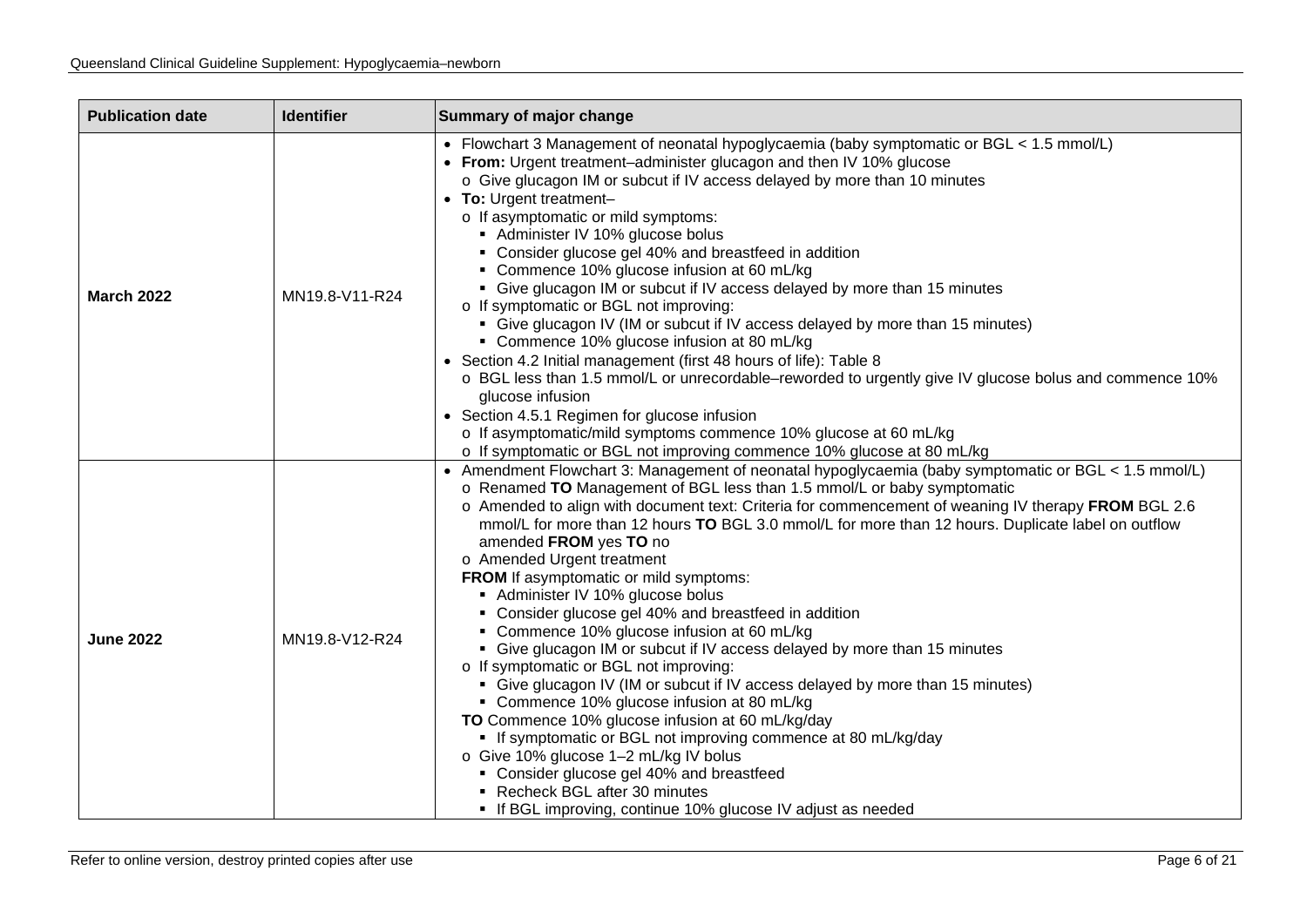| <b>Publication date</b> | <b>Identifier</b> | Summary of major change                                                                                                                                                                                                                                                                                                                                                                                                                                                                                                                                                                                                                                                                                                                                                                                                                                                                                                                                                                                                                                                                                                                                                                                       |
|-------------------------|-------------------|---------------------------------------------------------------------------------------------------------------------------------------------------------------------------------------------------------------------------------------------------------------------------------------------------------------------------------------------------------------------------------------------------------------------------------------------------------------------------------------------------------------------------------------------------------------------------------------------------------------------------------------------------------------------------------------------------------------------------------------------------------------------------------------------------------------------------------------------------------------------------------------------------------------------------------------------------------------------------------------------------------------------------------------------------------------------------------------------------------------------------------------------------------------------------------------------------------------|
| <b>March 2022</b>       | MN19.8-V11-R24    | • Flowchart 3 Management of neonatal hypoglycaemia (baby symptomatic or BGL < 1.5 mmol/L)<br>• From: Urgent treatment-administer glucagon and then IV 10% glucose<br>o Give glucagon IM or subcut if IV access delayed by more than 10 minutes<br>• To: Urgent treatment-<br>o If asymptomatic or mild symptoms:<br>Administer IV 10% glucose bolus<br>• Consider glucose gel 40% and breastfeed in addition<br>• Commence 10% glucose infusion at 60 mL/kg<br>• Give glucagon IM or subcut if IV access delayed by more than 15 minutes<br>o If symptomatic or BGL not improving:<br>• Give glucagon IV (IM or subcut if IV access delayed by more than 15 minutes)<br>• Commence 10% glucose infusion at 80 mL/kg<br>• Section 4.2 Initial management (first 48 hours of life): Table 8<br>○ BGL less than 1.5 mmol/L or unrecordable–reworded to urgently give IV glucose bolus and commence 10%<br>glucose infusion<br>• Section 4.5.1 Regimen for glucose infusion<br>o If asymptomatic/mild symptoms commence 10% glucose at 60 mL/kg<br>o If symptomatic or BGL not improving commence 10% glucose at 80 mL/kg                                                                                         |
| <b>June 2022</b>        | MN19.8-V12-R24    | • Amendment Flowchart 3: Management of neonatal hypoglycaemia (baby symptomatic or BGL < 1.5 mmol/L)<br>o Renamed TO Management of BGL less than 1.5 mmol/L or baby symptomatic<br>o Amended to align with document text: Criteria for commencement of weaning IV therapy FROM BGL 2.6<br>mmol/L for more than 12 hours TO BGL 3.0 mmol/L for more than 12 hours. Duplicate label on outflow<br>amended FROM yes TO no<br>o Amended Urgent treatment<br>FROM If asymptomatic or mild symptoms:<br>Administer IV 10% glucose bolus<br>• Consider glucose gel 40% and breastfeed in addition<br>• Commence 10% glucose infusion at 60 mL/kg<br>• Give glucagon IM or subcut if IV access delayed by more than 15 minutes<br>o If symptomatic or BGL not improving:<br>• Give glucagon IV (IM or subcut if IV access delayed by more than 15 minutes)<br>• Commence 10% glucose infusion at 80 mL/kg<br>TO Commence 10% glucose infusion at 60 mL/kg/day<br>• If symptomatic or BGL not improving commence at 80 mL/kg/day<br>o Give 10% glucose 1-2 mL/kg IV bolus<br>• Consider glucose gel 40% and breastfeed<br>Recheck BGL after 30 minutes<br>• If BGL improving, continue 10% glucose IV adjust as needed |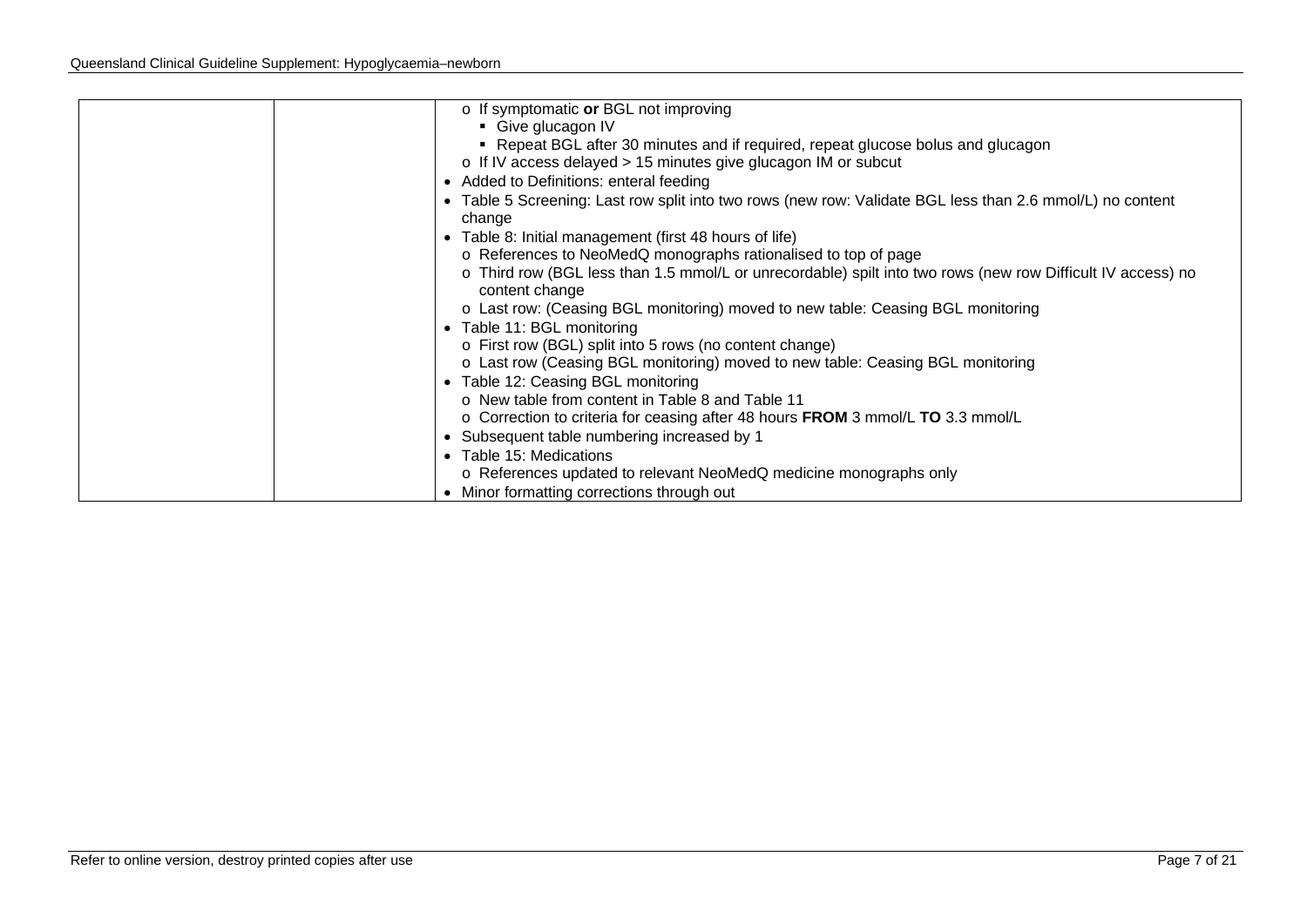| $\circ$ If symptomatic or BGL not improving                                                                                   |
|-------------------------------------------------------------------------------------------------------------------------------|
| • Give glucagon IV                                                                                                            |
| • Repeat BGL after 30 minutes and if required, repeat glucose bolus and glucagon                                              |
| o If IV access delayed > 15 minutes give glucagon IM or subcut                                                                |
| • Added to Definitions: enteral feeding                                                                                       |
| • Table 5 Screening: Last row split into two rows (new row: Validate BGL less than 2.6 mmol/L) no content<br>change           |
| • Table 8: Initial management (first 48 hours of life)                                                                        |
| o References to NeoMedQ monographs rationalised to top of page                                                                |
| o Third row (BGL less than 1.5 mmol/L or unrecordable) spilt into two rows (new row Difficult IV access) no<br>content change |
| o Last row: (Ceasing BGL monitoring) moved to new table: Ceasing BGL monitoring                                               |
| • Table 11: BGL monitoring                                                                                                    |
| o First row (BGL) split into 5 rows (no content change)                                                                       |
| o Last row (Ceasing BGL monitoring) moved to new table: Ceasing BGL monitoring                                                |
| • Table 12: Ceasing BGL monitoring                                                                                            |
| o New table from content in Table 8 and Table 11                                                                              |
| o Correction to criteria for ceasing after 48 hours FROM 3 mmol/L TO 3.3 mmol/L                                               |
| • Subsequent table numbering increased by 1                                                                                   |
| • Table 15: Medications                                                                                                       |
| o References updated to relevant NeoMedQ medicine monographs only                                                             |
| • Minor formatting corrections through out                                                                                    |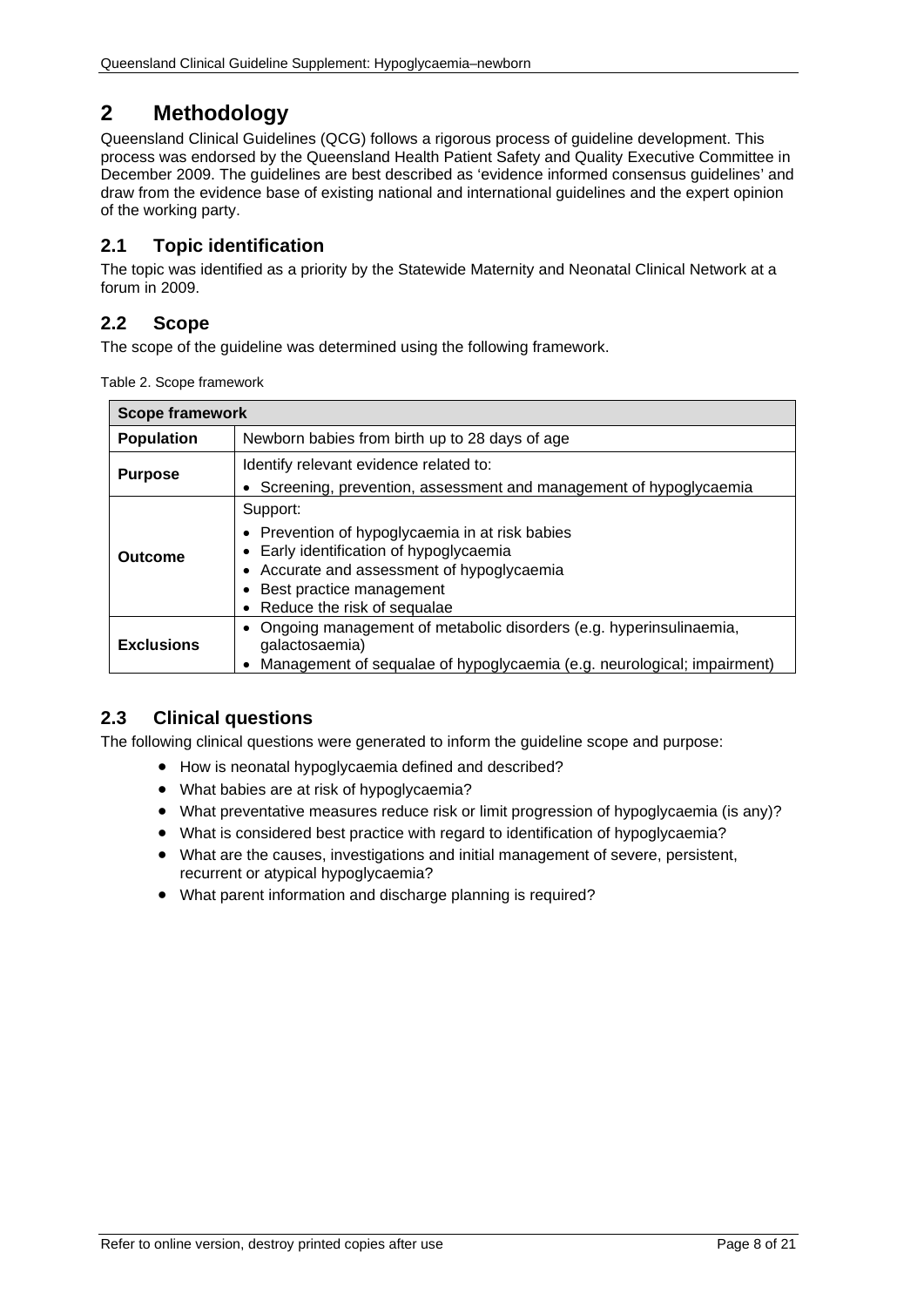# <span id="page-7-0"></span>**2 Methodology**

Queensland Clinical Guidelines (QCG) follows a rigorous process of guideline development. This process was endorsed by the Queensland Health Patient Safety and Quality Executive Committee in December 2009. The guidelines are best described as 'evidence informed consensus guidelines' and draw from the evidence base of existing national and international guidelines and the expert opinion of the working party.

## <span id="page-7-1"></span>**2.1 Topic identification**

The topic was identified as a priority by the Statewide Maternity and Neonatal Clinical Network at a forum in 2009.

## <span id="page-7-2"></span>**2.2 Scope**

<span id="page-7-4"></span>The scope of the guideline was determined using the following framework.

Table 2. Scope framework

| <b>Scope framework</b> |                                                                                                                                                                                                                 |  |  |
|------------------------|-----------------------------------------------------------------------------------------------------------------------------------------------------------------------------------------------------------------|--|--|
| <b>Population</b>      | Newborn babies from birth up to 28 days of age                                                                                                                                                                  |  |  |
| <b>Purpose</b>         | Identify relevant evidence related to:<br>Screening, prevention, assessment and management of hypoglycaemia                                                                                                     |  |  |
| Outcome                | Support:<br>• Prevention of hypoglycaemia in at risk babies<br>Early identification of hypoglycaemia<br>• Accurate and assessment of hypoglycaemia<br>Best practice management<br>• Reduce the risk of sequalae |  |  |
| <b>Exclusions</b>      | Ongoing management of metabolic disorders (e.g. hyperinsulinaemia,<br>galactosaemia)<br>Management of sequalae of hypoglycaemia (e.g. neurological; impairment)                                                 |  |  |

## <span id="page-7-3"></span>**2.3 Clinical questions**

The following clinical questions were generated to inform the guideline scope and purpose:

- How is neonatal hypoglycaemia defined and described?
- What babies are at risk of hypoglycaemia?
- What preventative measures reduce risk or limit progression of hypoglycaemia (is any)?
- What is considered best practice with regard to identification of hypoglycaemia?
- What are the causes, investigations and initial management of severe, persistent, recurrent or atypical hypoglycaemia?
- What parent information and discharge planning is required?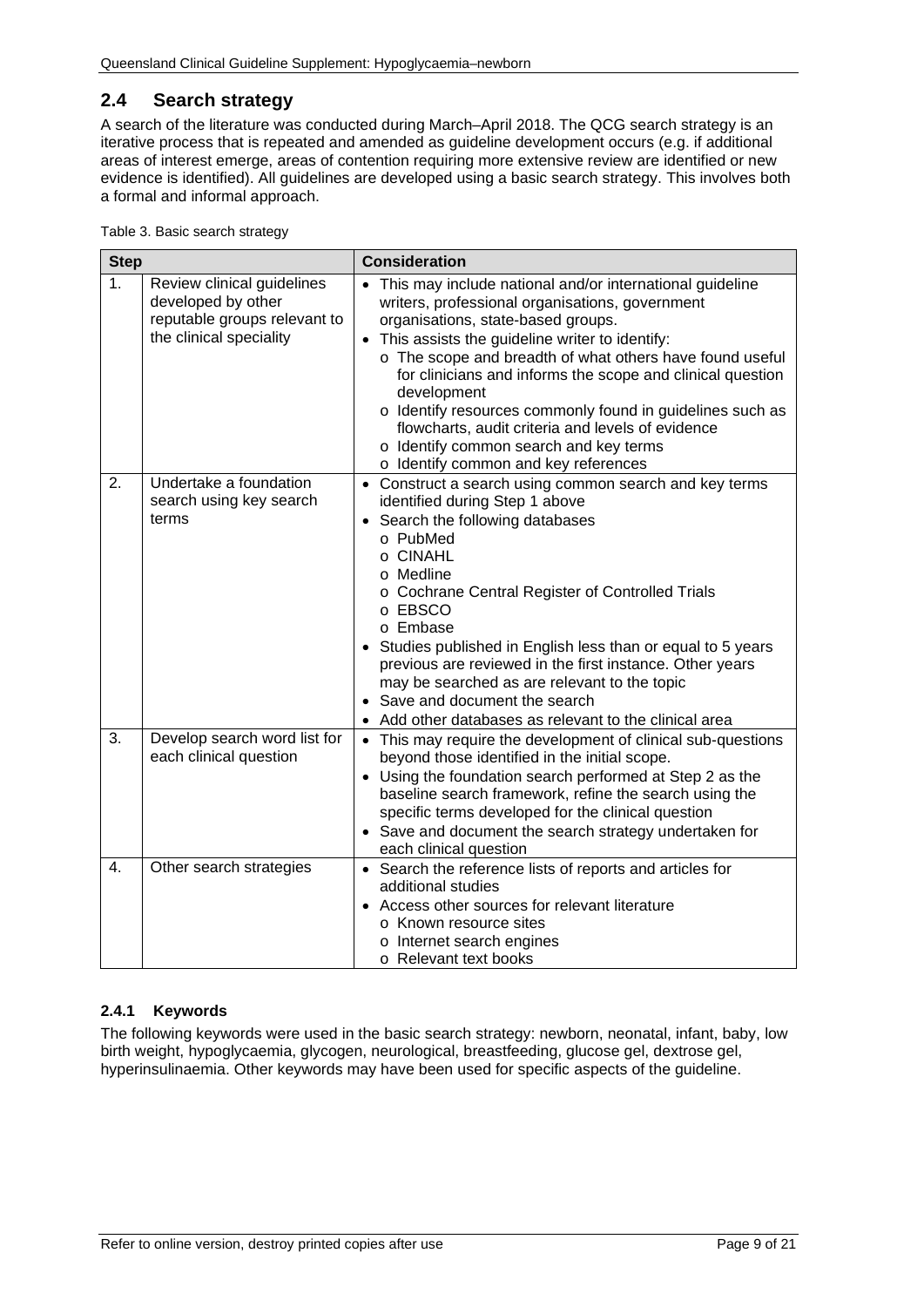## <span id="page-8-0"></span>**2.4 Search strategy**

A search of the literature was conducted during March–April 2018. The QCG search strategy is an iterative process that is repeated and amended as guideline development occurs (e.g. if additional areas of interest emerge, areas of contention requiring more extensive review are identified or new evidence is identified). All guidelines are developed using a basic search strategy. This involves both a formal and informal approach.

<span id="page-8-2"></span>

| Table 3. Basic search strategy |  |
|--------------------------------|--|
|                                |  |

| <b>Step</b>    |                                                                                                             | <b>Consideration</b>                                                                                                                                                                                                                                                                                                                                                                                                                                                                                                                               |
|----------------|-------------------------------------------------------------------------------------------------------------|----------------------------------------------------------------------------------------------------------------------------------------------------------------------------------------------------------------------------------------------------------------------------------------------------------------------------------------------------------------------------------------------------------------------------------------------------------------------------------------------------------------------------------------------------|
| 1 <sub>1</sub> | Review clinical guidelines<br>developed by other<br>reputable groups relevant to<br>the clinical speciality | This may include national and/or international guideline<br>writers, professional organisations, government<br>organisations, state-based groups.<br>• This assists the guideline writer to identify:<br>o The scope and breadth of what others have found useful<br>for clinicians and informs the scope and clinical question<br>development<br>o Identify resources commonly found in guidelines such as<br>flowcharts, audit criteria and levels of evidence<br>o Identify common search and key terms<br>o Identify common and key references |
| 2.             | Undertake a foundation<br>search using key search<br>terms                                                  | • Construct a search using common search and key terms<br>identified during Step 1 above<br>• Search the following databases<br>o PubMed<br>o CINAHL<br>o Medline<br>o Cochrane Central Register of Controlled Trials<br>o EBSCO<br>o Embase<br>Studies published in English less than or equal to 5 years<br>previous are reviewed in the first instance. Other years<br>may be searched as are relevant to the topic<br>• Save and document the search<br>Add other databases as relevant to the clinical area                                   |
| 3.             | Develop search word list for<br>each clinical question                                                      | • This may require the development of clinical sub-questions<br>beyond those identified in the initial scope.<br>• Using the foundation search performed at Step 2 as the<br>baseline search framework, refine the search using the<br>specific terms developed for the clinical question<br>• Save and document the search strategy undertaken for<br>each clinical question                                                                                                                                                                      |
| 4.             | Other search strategies                                                                                     | • Search the reference lists of reports and articles for<br>additional studies<br>Access other sources for relevant literature<br>o Known resource sites<br>o Internet search engines<br>o Relevant text books                                                                                                                                                                                                                                                                                                                                     |

## <span id="page-8-1"></span>**2.4.1 Keywords**

The following keywords were used in the basic search strategy: newborn, neonatal, infant, baby, low birth weight, hypoglycaemia, glycogen, neurological, breastfeeding, glucose gel, dextrose gel, hyperinsulinaemia. Other keywords may have been used for specific aspects of the guideline.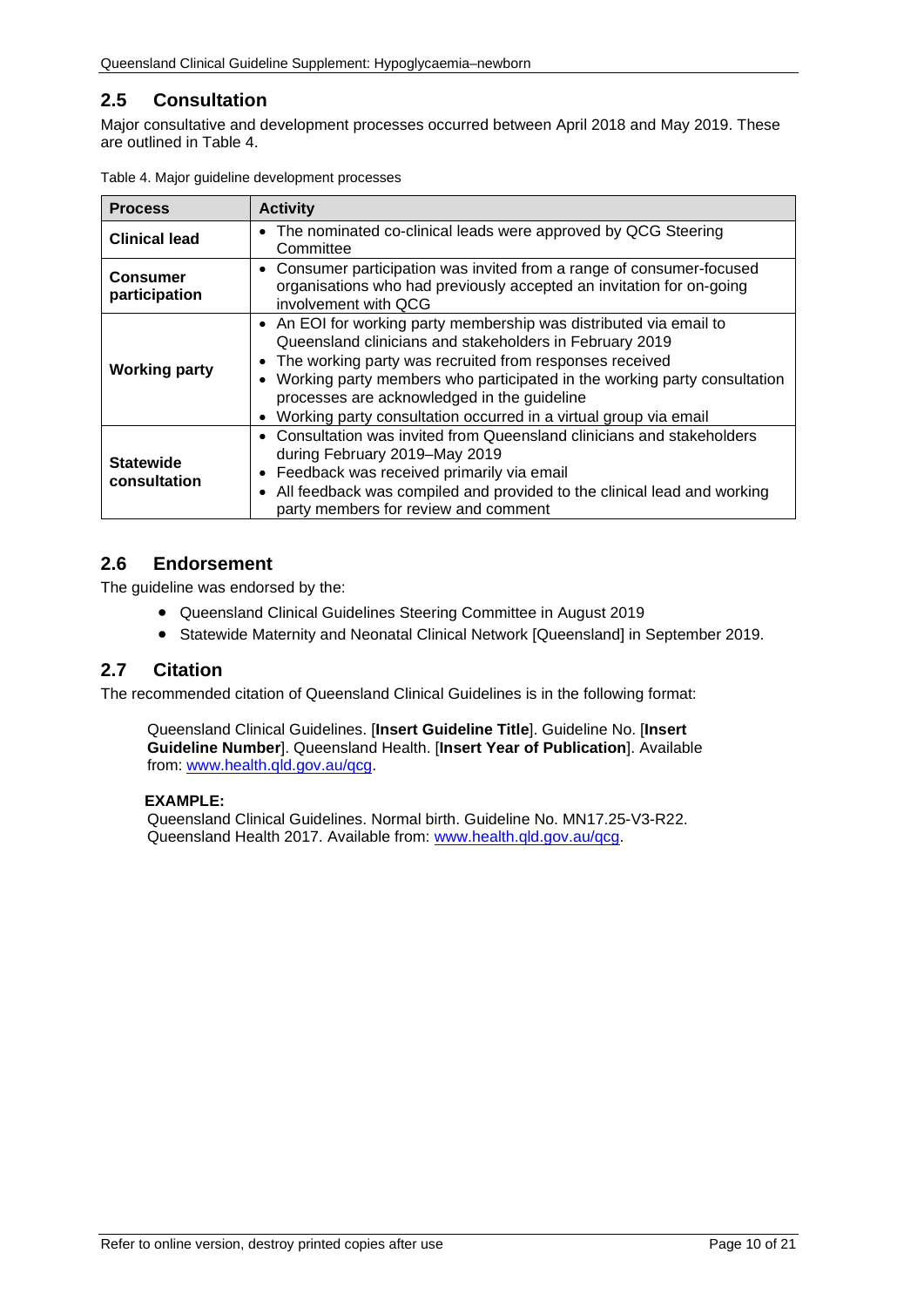## <span id="page-9-0"></span>**2.5 Consultation**

Major consultative and development processes occurred between April 2018 and May 2019. These are outlined in [Table 4.](#page-9-3)

| <b>Process</b>                   | <b>Activity</b>                                                                                                                                                                                                                                                                                                                                                                                                   |
|----------------------------------|-------------------------------------------------------------------------------------------------------------------------------------------------------------------------------------------------------------------------------------------------------------------------------------------------------------------------------------------------------------------------------------------------------------------|
| <b>Clinical lead</b>             | • The nominated co-clinical leads were approved by QCG Steering<br>Committee                                                                                                                                                                                                                                                                                                                                      |
| <b>Consumer</b><br>participation | • Consumer participation was invited from a range of consumer-focused<br>organisations who had previously accepted an invitation for on-going<br>involvement with OCG                                                                                                                                                                                                                                             |
| <b>Working party</b>             | • An EOI for working party membership was distributed via email to<br>Queensland clinicians and stakeholders in February 2019<br>The working party was recruited from responses received<br>Working party members who participated in the working party consultation<br>$\bullet$<br>processes are acknowledged in the guideline<br>Working party consultation occurred in a virtual group via email<br>$\bullet$ |
| <b>Statewide</b><br>consultation | Consultation was invited from Queensland clinicians and stakeholders<br>during February 2019–May 2019<br>Feedback was received primarily via email<br>$\bullet$<br>All feedback was compiled and provided to the clinical lead and working<br>$\bullet$<br>party members for review and comment                                                                                                                   |

<span id="page-9-3"></span>

## <span id="page-9-1"></span>**2.6 Endorsement**

The guideline was endorsed by the:

- Queensland Clinical Guidelines Steering Committee in August 2019
- Statewide Maternity and Neonatal Clinical Network [Queensland] in September 2019.

## <span id="page-9-2"></span>**2.7 Citation**

The recommended citation of Queensland Clinical Guidelines is in the following format:

Queensland Clinical Guidelines. [**Insert Guideline Title**]. Guideline No. [**Insert Guideline Number**]. Queensland Health. [**Insert Year of Publication**]. Available from: [www.health.qld.gov.au/qcg.](http://www.health.qld.gov.au/qcg)

#### **EXAMPLE:**

Queensland Clinical Guidelines. Normal birth. Guideline No. MN17.25-V3-R22. Queensland Health 2017. Available from: [www.health.qld.gov.au/qcg.](http://www.health.qld.gov.au/qcg)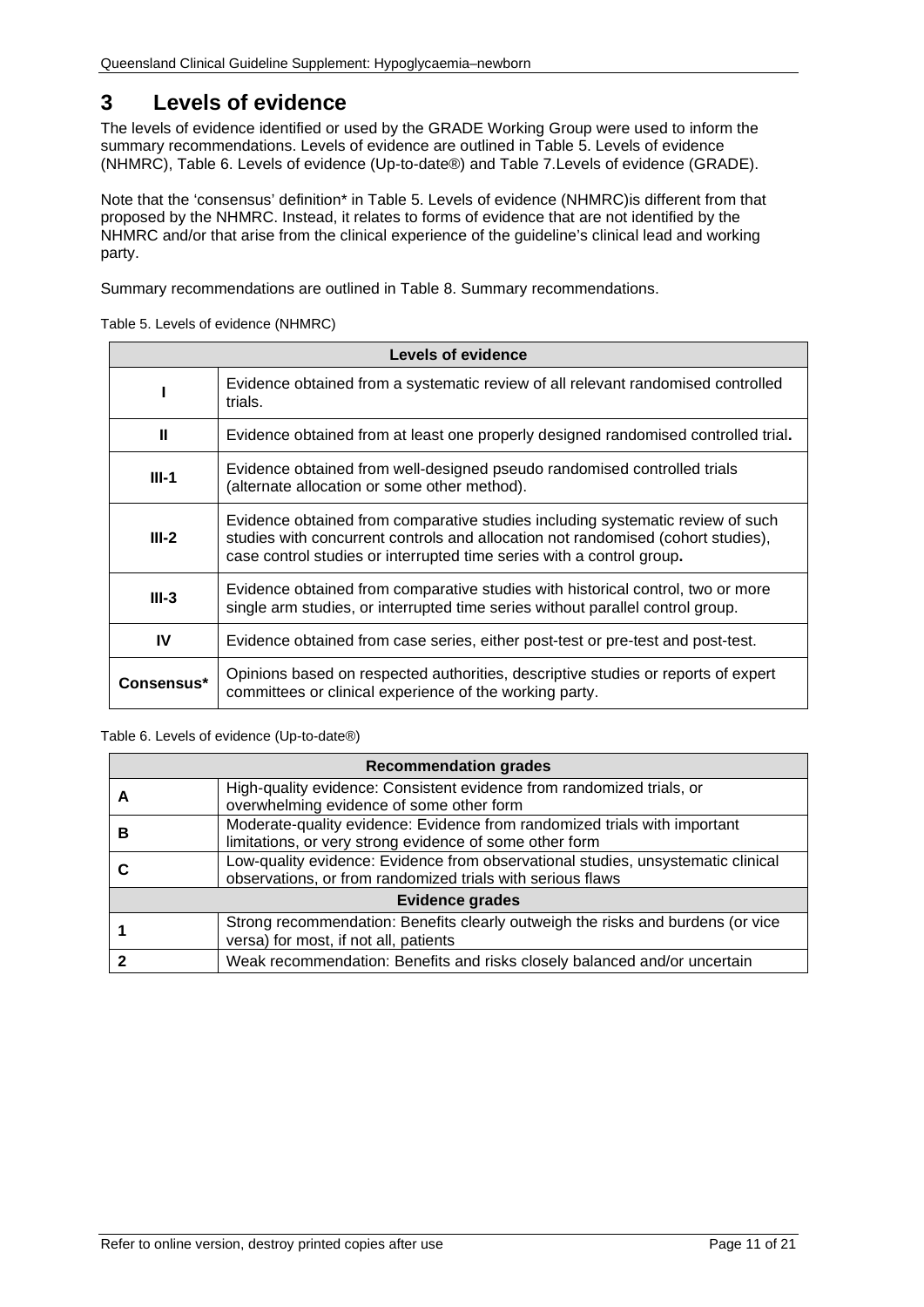# <span id="page-10-0"></span>**3 Levels of evidence**

The levels of evidence identified or used by the GRADE Working Group were used to inform the summary recommendations. Levels of evidence are outlined in Table 5. [Levels of evidence](#page-10-1)  [\(NHMRC\),](#page-10-1) [Table 6. Levels of evidence \(Up-to-date®\)](#page-10-2) and Table 7.Levels [of evidence \(GRADE\).](#page-11-1)

Note that the 'consensus' definition\* in Table 5. [Levels of evidence \(NHMRC\)is](#page-10-1) different from that proposed by the NHMRC. Instead, it relates to forms of evidence that are not identified by the NHMRC and/or that arise from the clinical experience of the guideline's clinical lead and working party.

<span id="page-10-1"></span>Summary recommendations are outlined in [Table 8. Summary recommendations.](#page-11-2)

Table 5. Levels of evidence (NHMRC)

| Levels of evidence |                                                                                                                                                                                                                                             |  |
|--------------------|---------------------------------------------------------------------------------------------------------------------------------------------------------------------------------------------------------------------------------------------|--|
|                    | Evidence obtained from a systematic review of all relevant randomised controlled<br>trials.                                                                                                                                                 |  |
| Ш                  | Evidence obtained from at least one properly designed randomised controlled trial.                                                                                                                                                          |  |
| $III-1$            | Evidence obtained from well-designed pseudo randomised controlled trials<br>(alternate allocation or some other method).                                                                                                                    |  |
| $III-2$            | Evidence obtained from comparative studies including systematic review of such<br>studies with concurrent controls and allocation not randomised (cohort studies),<br>case control studies or interrupted time series with a control group. |  |
| $III-3$            | Evidence obtained from comparative studies with historical control, two or more<br>single arm studies, or interrupted time series without parallel control group.                                                                           |  |
| IV                 | Evidence obtained from case series, either post-test or pre-test and post-test.                                                                                                                                                             |  |
| Consensus*         | Opinions based on respected authorities, descriptive studies or reports of expert<br>committees or clinical experience of the working party.                                                                                                |  |

#### <span id="page-10-2"></span>Table 6. Levels of evidence (Up-to-date®)

| <b>Recommendation grades</b> |                                                                                                                                                |  |
|------------------------------|------------------------------------------------------------------------------------------------------------------------------------------------|--|
|                              | High-quality evidence: Consistent evidence from randomized trials, or<br>overwhelming evidence of some other form                              |  |
| в                            | Moderate-quality evidence: Evidence from randomized trials with important<br>limitations, or very strong evidence of some other form           |  |
|                              | Low-quality evidence: Evidence from observational studies, unsystematic clinical<br>observations, or from randomized trials with serious flaws |  |
| <b>Evidence grades</b>       |                                                                                                                                                |  |
|                              | Strong recommendation: Benefits clearly outweigh the risks and burdens (or vice<br>versa) for most, if not all, patients                       |  |
|                              | Weak recommendation: Benefits and risks closely balanced and/or uncertain                                                                      |  |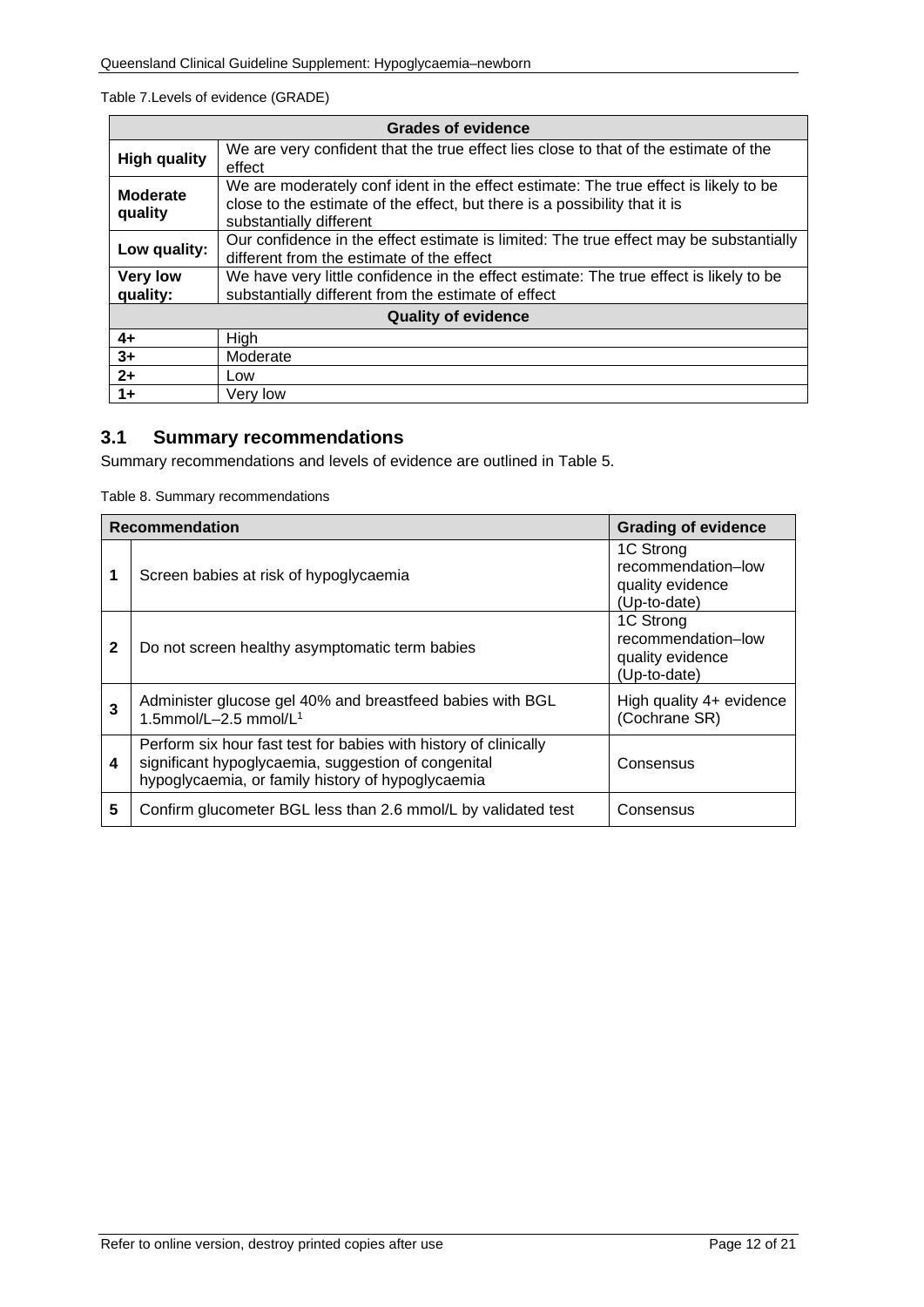#### <span id="page-11-1"></span>Table 7.Levels of evidence (GRADE)

| <b>Grades of evidence</b>   |                                                                                                                                                                                              |  |  |
|-----------------------------|----------------------------------------------------------------------------------------------------------------------------------------------------------------------------------------------|--|--|
| <b>High quality</b>         | We are very confident that the true effect lies close to that of the estimate of the<br>effect                                                                                               |  |  |
| Moderate<br>quality         | We are moderately confident in the effect estimate: The true effect is likely to be<br>close to the estimate of the effect, but there is a possibility that it is<br>substantially different |  |  |
| Low quality:                | Our confidence in the effect estimate is limited: The true effect may be substantially<br>different from the estimate of the effect                                                          |  |  |
| <b>Very low</b><br>quality: | We have very little confidence in the effect estimate: The true effect is likely to be<br>substantially different from the estimate of effect                                                |  |  |
| <b>Quality of evidence</b>  |                                                                                                                                                                                              |  |  |
| $4+$                        | High                                                                                                                                                                                         |  |  |
| $3+$                        | Moderate                                                                                                                                                                                     |  |  |
| $2+$                        | Low                                                                                                                                                                                          |  |  |
| $1+$                        | Very low                                                                                                                                                                                     |  |  |

# <span id="page-11-0"></span>**3.1 Summary recommendations**

<span id="page-11-2"></span>Summary recommendations and levels of evidence are outlined in Table 5.

Table 8. Summary recommendations

| <b>Recommendation</b> |                                                                                                                                                                              | <b>Grading of evidence</b>                                          |
|-----------------------|------------------------------------------------------------------------------------------------------------------------------------------------------------------------------|---------------------------------------------------------------------|
| 1                     | Screen babies at risk of hypoglycaemia                                                                                                                                       | 1C Strong<br>recommendation-low<br>quality evidence<br>(Up-to-date) |
| $\mathbf{2}$          | Do not screen healthy asymptomatic term babies                                                                                                                               | 1C Strong<br>recommendation-low<br>quality evidence<br>(Up-to-date) |
| 3                     | Administer glucose gel 40% and breastfeed babies with BGL<br>1.5mmol/L-2.5 mmol/L <sup>1</sup>                                                                               | High quality 4+ evidence<br>(Cochrane SR)                           |
| 4                     | Perform six hour fast test for babies with history of clinically<br>significant hypoglycaemia, suggestion of congenital<br>hypoglycaemia, or family history of hypoglycaemia | Consensus                                                           |
| 5                     | Confirm glucometer BGL less than 2.6 mmol/L by validated test                                                                                                                | Consensus                                                           |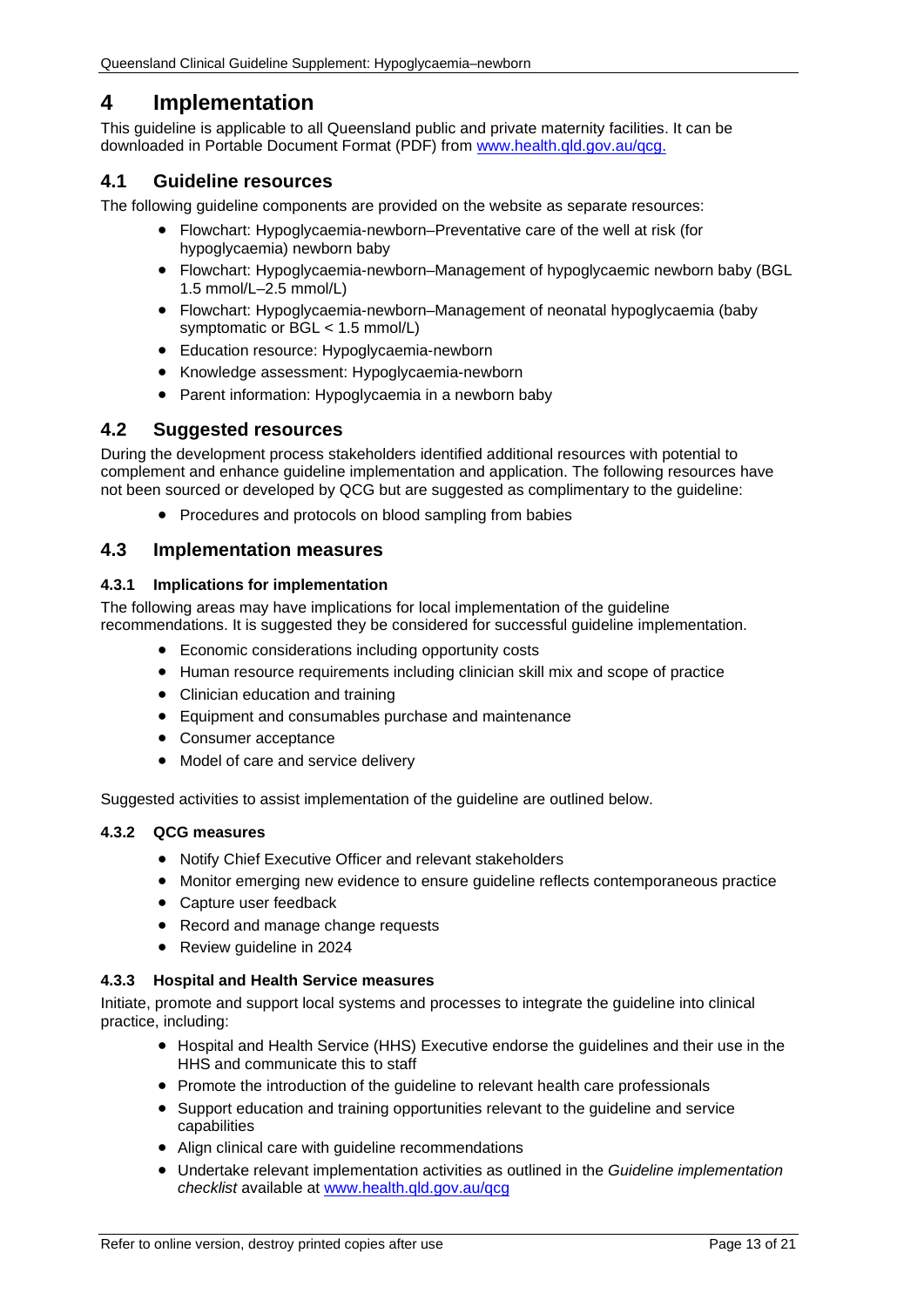# <span id="page-12-0"></span>**4 Implementation**

This guideline is applicable to all Queensland public and private maternity facilities. It can be downloaded in Portable Document Format (PDF) from [www.health.qld.gov.au/qcg.](http://www.health.qld.gov.au/qcg)

## <span id="page-12-1"></span>**4.1 Guideline resources**

The following guideline components are provided on the website as separate resources:

- Flowchart: Hypoglycaemia-newborn–Preventative care of the well at risk (for hypoglycaemia) newborn baby
- Flowchart: Hypoglycaemia-newborn–Management of hypoglycaemic newborn baby (BGL 1.5 mmol/L–2.5 mmol/L)
- Flowchart: Hypoglycaemia-newborn–Management of neonatal hypoglycaemia (baby symptomatic or BGL < 1.5 mmol/L)
- Education resource: Hypoglycaemia-newborn
- Knowledge assessment: Hypoglycaemia-newborn
- Parent information: Hypoglycaemia in a newborn baby

### <span id="page-12-2"></span>**4.2 Suggested resources**

During the development process stakeholders identified additional resources with potential to complement and enhance guideline implementation and application. The following resources have not been sourced or developed by QCG but are suggested as complimentary to the guideline:

• Procedures and protocols on blood sampling from babies

## <span id="page-12-3"></span>**4.3 Implementation measures**

#### <span id="page-12-4"></span>**4.3.1 Implications for implementation**

The following areas may have implications for local implementation of the guideline recommendations. It is suggested they be considered for successful guideline implementation.

- Economic considerations including opportunity costs
- Human resource requirements including clinician skill mix and scope of practice
- Clinician education and training
- Equipment and consumables purchase and maintenance
- Consumer acceptance
- Model of care and service delivery

Suggested activities to assist implementation of the guideline are outlined below.

#### <span id="page-12-5"></span>**4.3.2 QCG measures**

- Notify Chief Executive Officer and relevant stakeholders
- Monitor emerging new evidence to ensure guideline reflects contemporaneous practice
- Capture user feedback
- Record and manage change requests
- Review guideline in 2024

#### <span id="page-12-6"></span>**4.3.3 Hospital and Health Service measures**

Initiate, promote and support local systems and processes to integrate the guideline into clinical practice, including:

- Hospital and Health Service (HHS) Executive endorse the guidelines and their use in the HHS and communicate this to staff
- Promote the introduction of the guideline to relevant health care professionals
- Support education and training opportunities relevant to the guideline and service capabilities
- Align clinical care with guideline recommendations
- Undertake relevant implementation activities as outlined in the *Guideline implementation checklist* available at [www.health.qld.gov.au/qcg](http://www.health.qld.gov.au/qcg)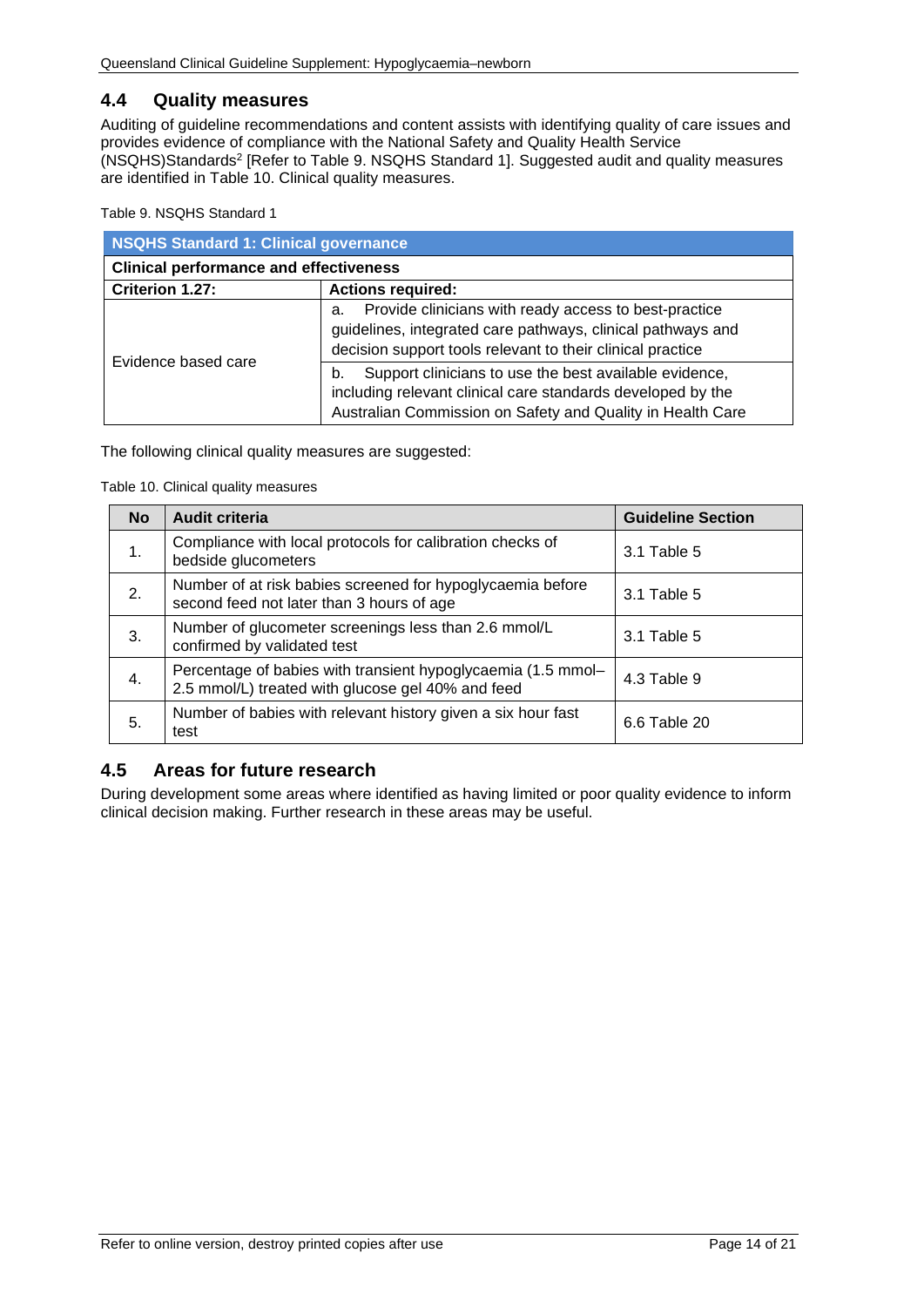## <span id="page-13-0"></span>**4.4 Quality measures**

Auditing of guideline recommendations and content assists with identifying quality of care issues and provides evidence of compliance with the National Safety and Quality Health Service (NSQHS)Standards2 [Refer to Table 9. [NSQHS Standard 1\]](#page-13-2). Suggested audit and quality measures are identified in [Table 10. Clinical quality measures.](#page-13-3)

<span id="page-13-2"></span>Table 9. NSQHS Standard 1

| NSQHS Standard 1: Clinical governance         |                                                                                                                                                                                           |  |  |
|-----------------------------------------------|-------------------------------------------------------------------------------------------------------------------------------------------------------------------------------------------|--|--|
| <b>Clinical performance and effectiveness</b> |                                                                                                                                                                                           |  |  |
| Criterion 1.27:<br><b>Actions required:</b>   |                                                                                                                                                                                           |  |  |
|                                               | Provide clinicians with ready access to best-practice<br>a.<br>guidelines, integrated care pathways, clinical pathways and<br>decision support tools relevant to their clinical practice  |  |  |
| Evidence based care                           | Support clinicians to use the best available evidence,<br>b.<br>including relevant clinical care standards developed by the<br>Australian Commission on Safety and Quality in Health Care |  |  |

<span id="page-13-3"></span>The following clinical quality measures are suggested:

Table 10. Clinical quality measures

| <b>No</b> | <b>Audit criteria</b>                                                                                             | <b>Guideline Section</b> |
|-----------|-------------------------------------------------------------------------------------------------------------------|--------------------------|
| 1.        | Compliance with local protocols for calibration checks of<br>bedside glucometers                                  | $3.1$ Table 5            |
| 2.        | Number of at risk babies screened for hypoglycaemia before<br>second feed not later than 3 hours of age           | 3.1 Table 5              |
| 3.        | Number of glucometer screenings less than 2.6 mmol/L<br>confirmed by validated test                               | 3.1 Table 5              |
| 4.        | Percentage of babies with transient hypoglycaemia (1.5 mmol-<br>2.5 mmol/L) treated with glucose gel 40% and feed | 4.3 Table 9              |
| 5.        | Number of babies with relevant history given a six hour fast<br>test                                              | 6.6 Table 20             |

## <span id="page-13-1"></span>**4.5 Areas for future research**

During development some areas where identified as having limited or poor quality evidence to inform clinical decision making. Further research in these areas may be useful.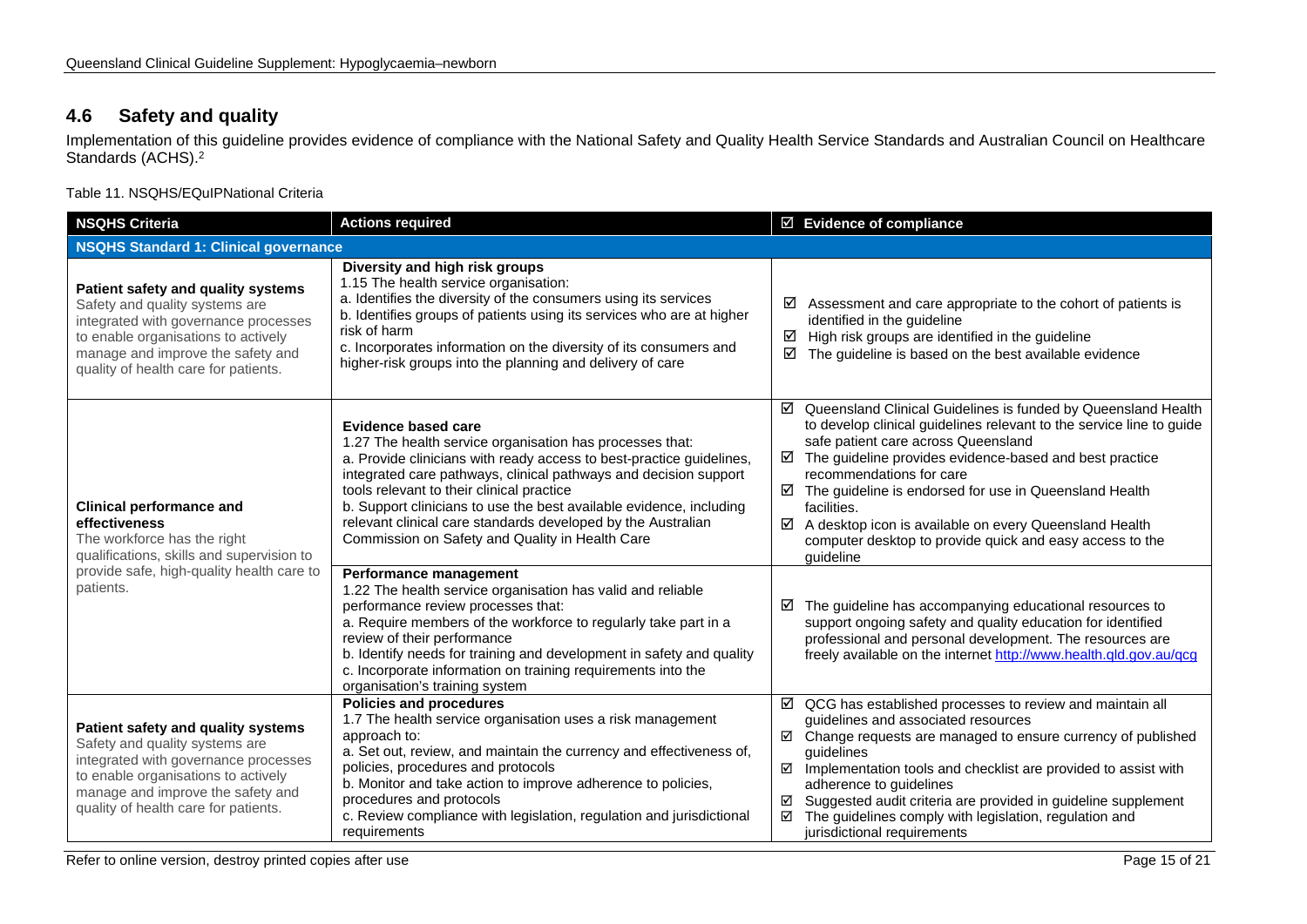## **4.6 Safety and quality**

Implementation of this guideline provides evidence of compliance with the National Safety and Quality Health Service Standards and Australian Council on Healthcare Standards (ACHS). 2

Table 11. NSQHS/EQuIPNational Criteria

<span id="page-14-1"></span><span id="page-14-0"></span>

| <b>NSQHS Criteria</b>                                                                                                                                                                                                            | <b>Actions required</b>                                                                                                                                                                                                                                                                                                                                                                                                                                            | $\boxtimes$ Evidence of compliance                                                                                                                                                                                                                                                                                                                                                                                                                                                            |  |  |
|----------------------------------------------------------------------------------------------------------------------------------------------------------------------------------------------------------------------------------|--------------------------------------------------------------------------------------------------------------------------------------------------------------------------------------------------------------------------------------------------------------------------------------------------------------------------------------------------------------------------------------------------------------------------------------------------------------------|-----------------------------------------------------------------------------------------------------------------------------------------------------------------------------------------------------------------------------------------------------------------------------------------------------------------------------------------------------------------------------------------------------------------------------------------------------------------------------------------------|--|--|
| <b>NSQHS Standard 1: Clinical governance</b>                                                                                                                                                                                     |                                                                                                                                                                                                                                                                                                                                                                                                                                                                    |                                                                                                                                                                                                                                                                                                                                                                                                                                                                                               |  |  |
| Patient safety and quality systems<br>Safety and quality systems are<br>integrated with governance processes<br>to enable organisations to actively<br>manage and improve the safety and<br>quality of health care for patients. | Diversity and high risk groups<br>1.15 The health service organisation:<br>a. Identifies the diversity of the consumers using its services<br>b. Identifies groups of patients using its services who are at higher<br>risk of harm<br>c. Incorporates information on the diversity of its consumers and<br>higher-risk groups into the planning and delivery of care                                                                                              | Assessment and care appropriate to the cohort of patients is<br>☑<br>identified in the guideline<br>High risk groups are identified in the guideline<br>☑<br>☑<br>The guideline is based on the best available evidence                                                                                                                                                                                                                                                                       |  |  |
| <b>Clinical performance and</b><br>effectiveness<br>The workforce has the right<br>qualifications, skills and supervision to                                                                                                     | Evidence based care<br>1.27 The health service organisation has processes that:<br>a. Provide clinicians with ready access to best-practice guidelines,<br>integrated care pathways, clinical pathways and decision support<br>tools relevant to their clinical practice<br>b. Support clinicians to use the best available evidence, including<br>relevant clinical care standards developed by the Australian<br>Commission on Safety and Quality in Health Care | ☑ Queensland Clinical Guidelines is funded by Queensland Health<br>to develop clinical guidelines relevant to the service line to guide<br>safe patient care across Queensland<br>The guideline provides evidence-based and best practice<br>☑<br>recommendations for care<br>☑ The guideline is endorsed for use in Queensland Health<br>facilities.<br>☑<br>A desktop icon is available on every Queensland Health<br>computer desktop to provide quick and easy access to the<br>guideline |  |  |
| provide safe, high-quality health care to<br>patients.                                                                                                                                                                           | Performance management<br>1.22 The health service organisation has valid and reliable<br>performance review processes that:<br>a. Require members of the workforce to regularly take part in a<br>review of their performance<br>b. Identify needs for training and development in safety and quality<br>c. Incorporate information on training requirements into the<br>organisation's training system                                                            | The guideline has accompanying educational resources to<br>☑<br>support ongoing safety and quality education for identified<br>professional and personal development. The resources are<br>freely available on the internet http://www.health.qld.gov.au/qcg                                                                                                                                                                                                                                  |  |  |
| Patient safety and quality systems<br>Safety and quality systems are<br>integrated with governance processes<br>to enable organisations to actively<br>manage and improve the safety and<br>quality of health care for patients. | <b>Policies and procedures</b><br>1.7 The health service organisation uses a risk management<br>approach to:<br>a. Set out, review, and maintain the currency and effectiveness of,<br>policies, procedures and protocols<br>b. Monitor and take action to improve adherence to policies,<br>procedures and protocols<br>c. Review compliance with legislation, regulation and jurisdictional<br>requirements                                                      | $\boxtimes$ QCG has established processes to review and maintain all<br>guidelines and associated resources<br>$\boxtimes$ Change requests are managed to ensure currency of published<br>quidelines<br>Implementation tools and checklist are provided to assist with<br>☑<br>adherence to guidelines<br>Suggested audit criteria are provided in guideline supplement<br>☑<br>☑<br>The guidelines comply with legislation, regulation and<br>jurisdictional requirements                    |  |  |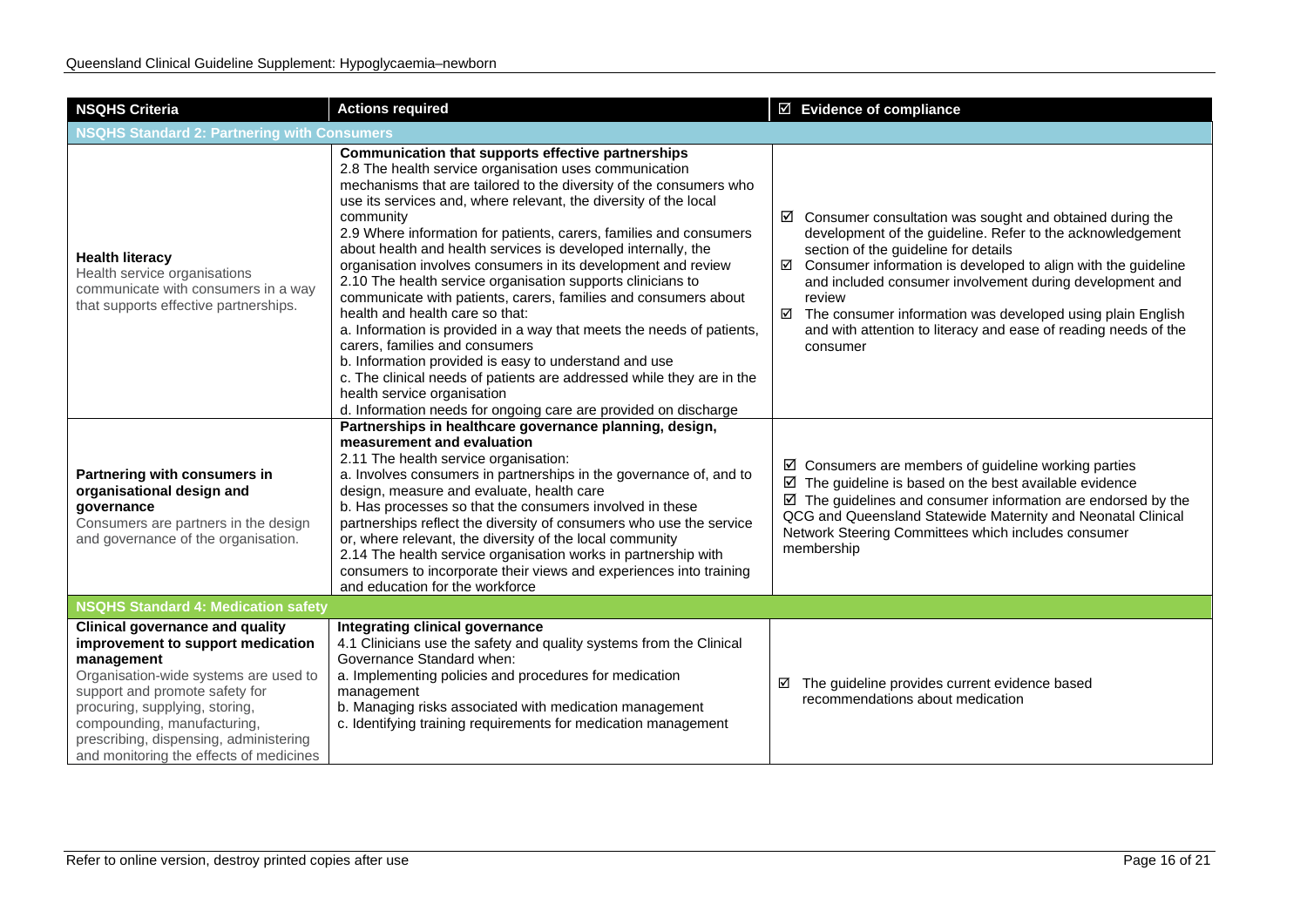| <b>NSQHS Criteria</b>                                                                                                                                                                                                                                                                                                      | <b>Actions required</b>                                                                                                                                                                                                                                                                                                                                                                                                                                                                                                                                                                                                                                                                                                                                                                                                                                                                                                                                                                         | $\boxtimes$ Evidence of compliance                                                                                                                                                                                                                                                                                                                                                                                                                                              |  |  |
|----------------------------------------------------------------------------------------------------------------------------------------------------------------------------------------------------------------------------------------------------------------------------------------------------------------------------|-------------------------------------------------------------------------------------------------------------------------------------------------------------------------------------------------------------------------------------------------------------------------------------------------------------------------------------------------------------------------------------------------------------------------------------------------------------------------------------------------------------------------------------------------------------------------------------------------------------------------------------------------------------------------------------------------------------------------------------------------------------------------------------------------------------------------------------------------------------------------------------------------------------------------------------------------------------------------------------------------|---------------------------------------------------------------------------------------------------------------------------------------------------------------------------------------------------------------------------------------------------------------------------------------------------------------------------------------------------------------------------------------------------------------------------------------------------------------------------------|--|--|
| <b>NSQHS Standard 2: Partnering with Consumers</b>                                                                                                                                                                                                                                                                         |                                                                                                                                                                                                                                                                                                                                                                                                                                                                                                                                                                                                                                                                                                                                                                                                                                                                                                                                                                                                 |                                                                                                                                                                                                                                                                                                                                                                                                                                                                                 |  |  |
| <b>Health literacy</b><br>Health service organisations<br>communicate with consumers in a way<br>that supports effective partnerships.                                                                                                                                                                                     | Communication that supports effective partnerships<br>2.8 The health service organisation uses communication<br>mechanisms that are tailored to the diversity of the consumers who<br>use its services and, where relevant, the diversity of the local<br>community<br>2.9 Where information for patients, carers, families and consumers<br>about health and health services is developed internally, the<br>organisation involves consumers in its development and review<br>2.10 The health service organisation supports clinicians to<br>communicate with patients, carers, families and consumers about<br>health and health care so that:<br>a. Information is provided in a way that meets the needs of patients,<br>carers, families and consumers<br>b. Information provided is easy to understand and use<br>c. The clinical needs of patients are addressed while they are in the<br>health service organisation<br>d. Information needs for ongoing care are provided on discharge | $\boxtimes$ Consumer consultation was sought and obtained during the<br>development of the guideline. Refer to the acknowledgement<br>section of the guideline for details<br>Consumer information is developed to align with the guideline<br>☑<br>and included consumer involvement during development and<br>review<br>$\boxtimes$ The consumer information was developed using plain English<br>and with attention to literacy and ease of reading needs of the<br>consumer |  |  |
| Partnering with consumers in<br>organisational design and<br>qovernance<br>Consumers are partners in the design<br>and governance of the organisation.                                                                                                                                                                     | Partnerships in healthcare governance planning, design,<br>measurement and evaluation<br>2.11 The health service organisation:<br>a. Involves consumers in partnerships in the governance of, and to<br>design, measure and evaluate, health care<br>b. Has processes so that the consumers involved in these<br>partnerships reflect the diversity of consumers who use the service<br>or, where relevant, the diversity of the local community<br>2.14 The health service organisation works in partnership with<br>consumers to incorporate their views and experiences into training<br>and education for the workforce                                                                                                                                                                                                                                                                                                                                                                     | $\boxtimes$ Consumers are members of guideline working parties<br>$\boxtimes$ The guideline is based on the best available evidence<br>$\boxtimes$ The guidelines and consumer information are endorsed by the<br>QCG and Queensland Statewide Maternity and Neonatal Clinical<br>Network Steering Committees which includes consumer<br>membership                                                                                                                             |  |  |
| <b>NSQHS Standard 4: Medication safety</b>                                                                                                                                                                                                                                                                                 |                                                                                                                                                                                                                                                                                                                                                                                                                                                                                                                                                                                                                                                                                                                                                                                                                                                                                                                                                                                                 |                                                                                                                                                                                                                                                                                                                                                                                                                                                                                 |  |  |
| <b>Clinical governance and quality</b><br>improvement to support medication<br>management<br>Organisation-wide systems are used to<br>support and promote safety for<br>procuring, supplying, storing,<br>compounding, manufacturing,<br>prescribing, dispensing, administering<br>and monitoring the effects of medicines | Integrating clinical governance<br>4.1 Clinicians use the safety and quality systems from the Clinical<br>Governance Standard when:<br>a. Implementing policies and procedures for medication<br>management<br>b. Managing risks associated with medication management<br>c. Identifying training requirements for medication management                                                                                                                                                                                                                                                                                                                                                                                                                                                                                                                                                                                                                                                        | The guideline provides current evidence based<br>☑<br>recommendations about medication                                                                                                                                                                                                                                                                                                                                                                                          |  |  |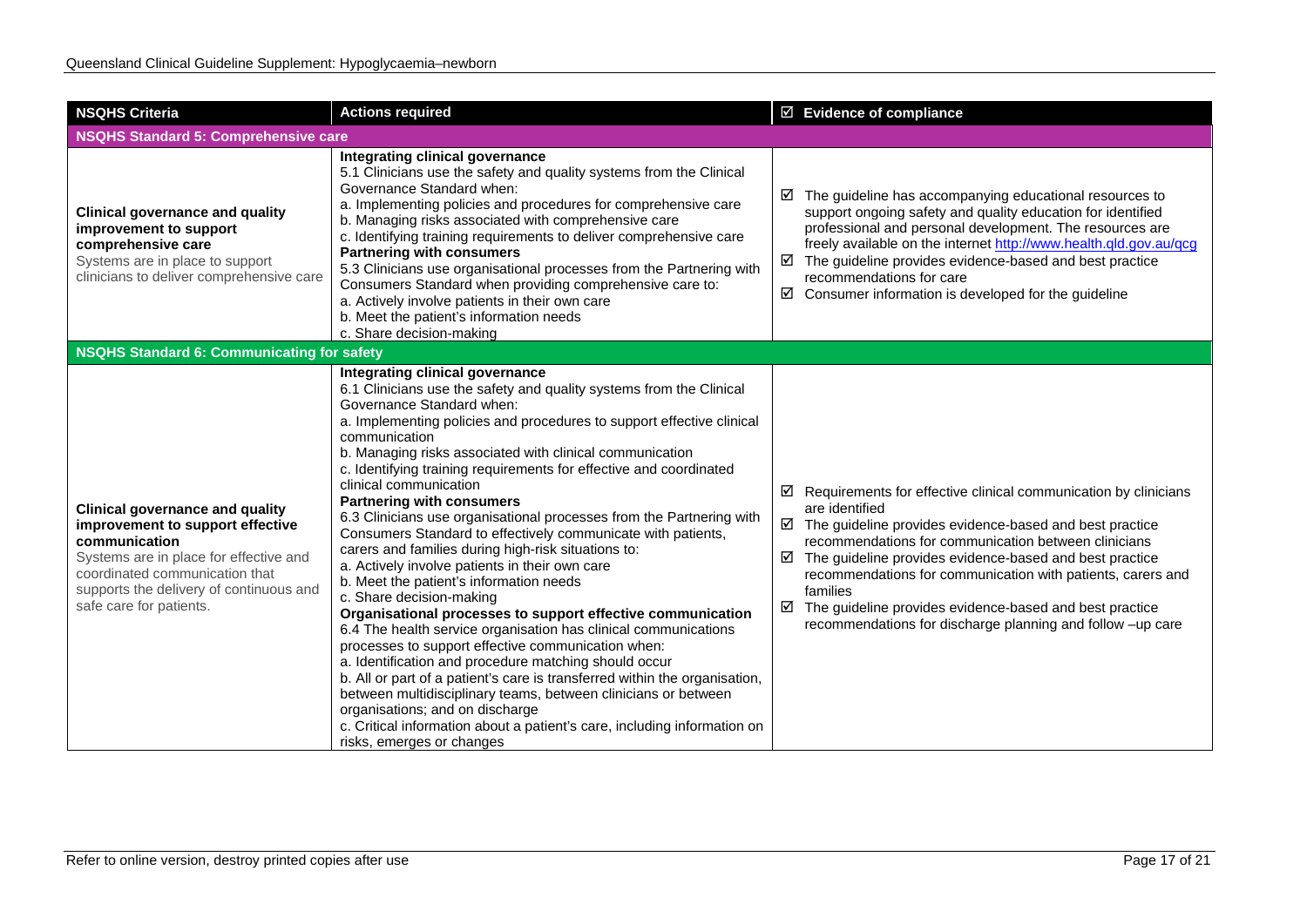| <b>NSQHS Criteria</b>                                                                                                                                                                                                                         | <b>Actions required</b>                                                                                                                                                                                                                                                                                                                                                                                                                                                                                                                                                                                                                                                                                                                                                                                                                                                                                                                                                                                                                                                                                                                                                                                                                                                                            | ☑ Evidence of compliance                                                                                                                                                                                                                                                                                                                                                                                                                                                                                     |  |
|-----------------------------------------------------------------------------------------------------------------------------------------------------------------------------------------------------------------------------------------------|----------------------------------------------------------------------------------------------------------------------------------------------------------------------------------------------------------------------------------------------------------------------------------------------------------------------------------------------------------------------------------------------------------------------------------------------------------------------------------------------------------------------------------------------------------------------------------------------------------------------------------------------------------------------------------------------------------------------------------------------------------------------------------------------------------------------------------------------------------------------------------------------------------------------------------------------------------------------------------------------------------------------------------------------------------------------------------------------------------------------------------------------------------------------------------------------------------------------------------------------------------------------------------------------------|--------------------------------------------------------------------------------------------------------------------------------------------------------------------------------------------------------------------------------------------------------------------------------------------------------------------------------------------------------------------------------------------------------------------------------------------------------------------------------------------------------------|--|
| <b>NSQHS Standard 5: Comprehensive care</b>                                                                                                                                                                                                   |                                                                                                                                                                                                                                                                                                                                                                                                                                                                                                                                                                                                                                                                                                                                                                                                                                                                                                                                                                                                                                                                                                                                                                                                                                                                                                    |                                                                                                                                                                                                                                                                                                                                                                                                                                                                                                              |  |
| <b>Clinical governance and quality</b><br>improvement to support<br>comprehensive care<br>Systems are in place to support<br>clinicians to deliver comprehensive care                                                                         | <b>Integrating clinical governance</b><br>5.1 Clinicians use the safety and quality systems from the Clinical<br>Governance Standard when:<br>a. Implementing policies and procedures for comprehensive care<br>b. Managing risks associated with comprehensive care<br>c. Identifying training requirements to deliver comprehensive care<br><b>Partnering with consumers</b><br>5.3 Clinicians use organisational processes from the Partnering with<br>Consumers Standard when providing comprehensive care to:<br>a. Actively involve patients in their own care<br>b. Meet the patient's information needs<br>c. Share decision-making                                                                                                                                                                                                                                                                                                                                                                                                                                                                                                                                                                                                                                                        | $\boxtimes$ The guideline has accompanying educational resources to<br>support ongoing safety and quality education for identified<br>professional and personal development. The resources are<br>freely available on the internet http://www.health.qld.gov.au/qcg<br>$\boxtimes$ The guideline provides evidence-based and best practice<br>recommendations for care<br>$\boxtimes$ Consumer information is developed for the guideline                                                                    |  |
| <b>NSQHS Standard 6: Communicating for safety</b>                                                                                                                                                                                             |                                                                                                                                                                                                                                                                                                                                                                                                                                                                                                                                                                                                                                                                                                                                                                                                                                                                                                                                                                                                                                                                                                                                                                                                                                                                                                    |                                                                                                                                                                                                                                                                                                                                                                                                                                                                                                              |  |
| <b>Clinical governance and quality</b><br>improvement to support effective<br>communication<br>Systems are in place for effective and<br>coordinated communication that<br>supports the delivery of continuous and<br>safe care for patients. | Integrating clinical governance<br>6.1 Clinicians use the safety and quality systems from the Clinical<br>Governance Standard when:<br>a. Implementing policies and procedures to support effective clinical<br>communication<br>b. Managing risks associated with clinical communication<br>c. Identifying training requirements for effective and coordinated<br>clinical communication<br><b>Partnering with consumers</b><br>6.3 Clinicians use organisational processes from the Partnering with<br>Consumers Standard to effectively communicate with patients,<br>carers and families during high-risk situations to:<br>a. Actively involve patients in their own care<br>b. Meet the patient's information needs<br>c. Share decision-making<br>Organisational processes to support effective communication<br>6.4 The health service organisation has clinical communications<br>processes to support effective communication when:<br>a. Identification and procedure matching should occur<br>b. All or part of a patient's care is transferred within the organisation,<br>between multidisciplinary teams, between clinicians or between<br>organisations; and on discharge<br>c. Critical information about a patient's care, including information on<br>risks, emerges or changes | $\boxtimes$ Requirements for effective clinical communication by clinicians<br>are identified<br>$\boxtimes$ The guideline provides evidence-based and best practice<br>recommendations for communication between clinicians<br>☑<br>The guideline provides evidence-based and best practice<br>recommendations for communication with patients, carers and<br>families<br>$\boxtimes$ The guideline provides evidence-based and best practice<br>recommendations for discharge planning and follow -up care |  |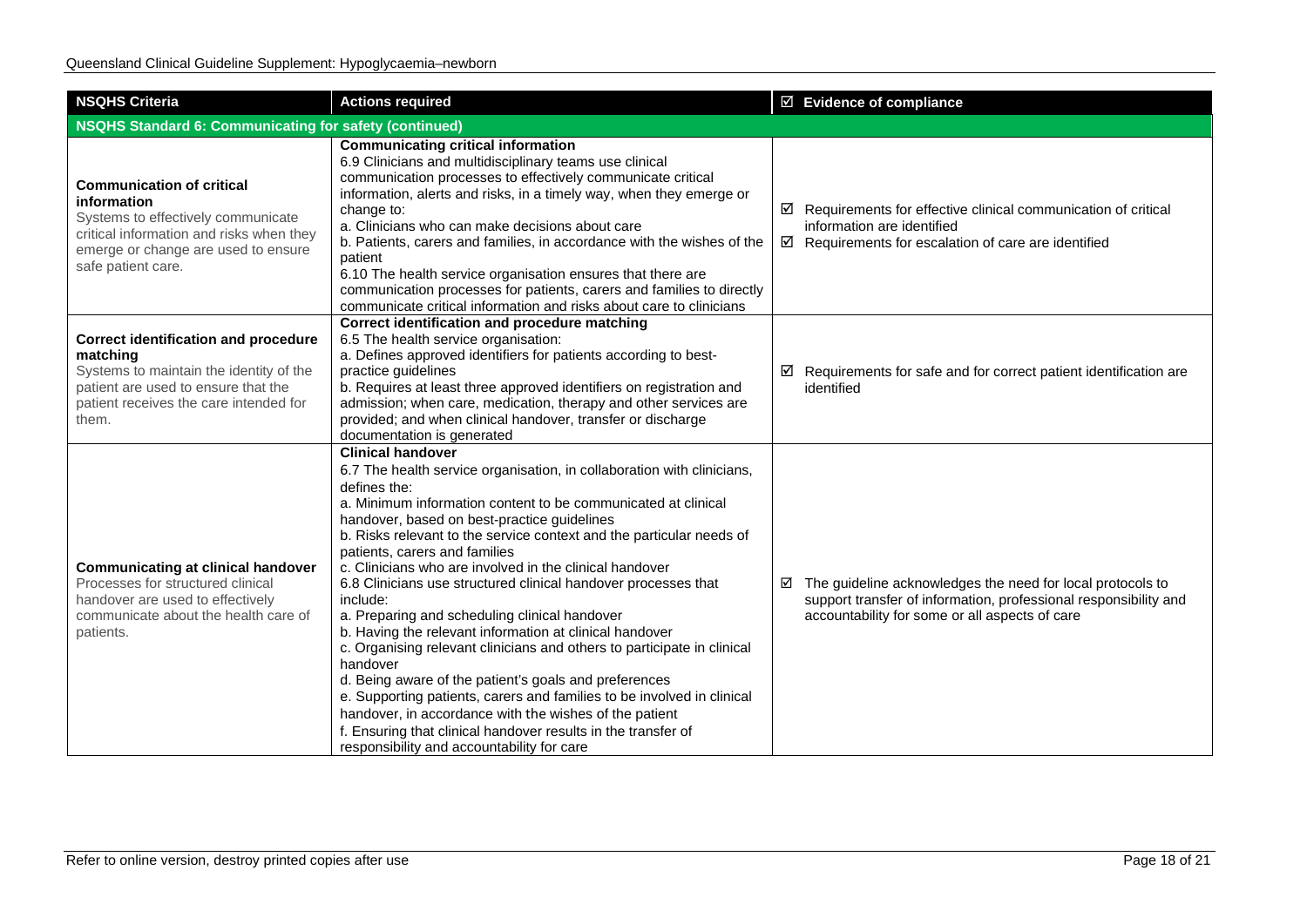| <b>NSQHS Criteria</b>                                                                                                                                                                          | <b>Actions required</b>                                                                                                                                                                                                                                                                                                                                                                                                                                                                                                                                                                                                                                                                                                                                                                                                                                                                                                                                                                             | $\boxtimes$ Evidence of compliance                                                                                                                                                           |
|------------------------------------------------------------------------------------------------------------------------------------------------------------------------------------------------|-----------------------------------------------------------------------------------------------------------------------------------------------------------------------------------------------------------------------------------------------------------------------------------------------------------------------------------------------------------------------------------------------------------------------------------------------------------------------------------------------------------------------------------------------------------------------------------------------------------------------------------------------------------------------------------------------------------------------------------------------------------------------------------------------------------------------------------------------------------------------------------------------------------------------------------------------------------------------------------------------------|----------------------------------------------------------------------------------------------------------------------------------------------------------------------------------------------|
| <b>NSQHS Standard 6: Communicating for safety (continued)</b>                                                                                                                                  |                                                                                                                                                                                                                                                                                                                                                                                                                                                                                                                                                                                                                                                                                                                                                                                                                                                                                                                                                                                                     |                                                                                                                                                                                              |
| <b>Communication of critical</b><br>information<br>Systems to effectively communicate<br>critical information and risks when they<br>emerge or change are used to ensure<br>safe patient care. | <b>Communicating critical information</b><br>6.9 Clinicians and multidisciplinary teams use clinical<br>communication processes to effectively communicate critical<br>information, alerts and risks, in a timely way, when they emerge or<br>change to:<br>a. Clinicians who can make decisions about care<br>b. Patients, carers and families, in accordance with the wishes of the<br>patient<br>6.10 The health service organisation ensures that there are<br>communication processes for patients, carers and families to directly<br>communicate critical information and risks about care to clinicians                                                                                                                                                                                                                                                                                                                                                                                     | $\boxtimes$ Requirements for effective clinical communication of critical<br>information are identified<br>$\boxtimes$ Requirements for escalation of care are identified                    |
| <b>Correct identification and procedure</b><br>matching<br>Systems to maintain the identity of the<br>patient are used to ensure that the<br>patient receives the care intended for<br>them.   | Correct identification and procedure matching<br>6.5 The health service organisation:<br>a. Defines approved identifiers for patients according to best-<br>practice guidelines<br>b. Requires at least three approved identifiers on registration and<br>admission; when care, medication, therapy and other services are<br>provided; and when clinical handover, transfer or discharge<br>documentation is generated                                                                                                                                                                                                                                                                                                                                                                                                                                                                                                                                                                             | $\boxtimes$ Requirements for safe and for correct patient identification are<br>identified                                                                                                   |
| <b>Communicating at clinical handover</b><br>Processes for structured clinical<br>handover are used to effectively<br>communicate about the health care of<br>patients.                        | <b>Clinical handover</b><br>6.7 The health service organisation, in collaboration with clinicians,<br>defines the:<br>a. Minimum information content to be communicated at clinical<br>handover, based on best-practice guidelines<br>b. Risks relevant to the service context and the particular needs of<br>patients, carers and families<br>c. Clinicians who are involved in the clinical handover<br>6.8 Clinicians use structured clinical handover processes that<br>include:<br>a. Preparing and scheduling clinical handover<br>b. Having the relevant information at clinical handover<br>c. Organising relevant clinicians and others to participate in clinical<br>handover<br>d. Being aware of the patient's goals and preferences<br>e. Supporting patients, carers and families to be involved in clinical<br>handover, in accordance with the wishes of the patient<br>f. Ensuring that clinical handover results in the transfer of<br>responsibility and accountability for care | $\boxtimes$ The guideline acknowledges the need for local protocols to<br>support transfer of information, professional responsibility and<br>accountability for some or all aspects of care |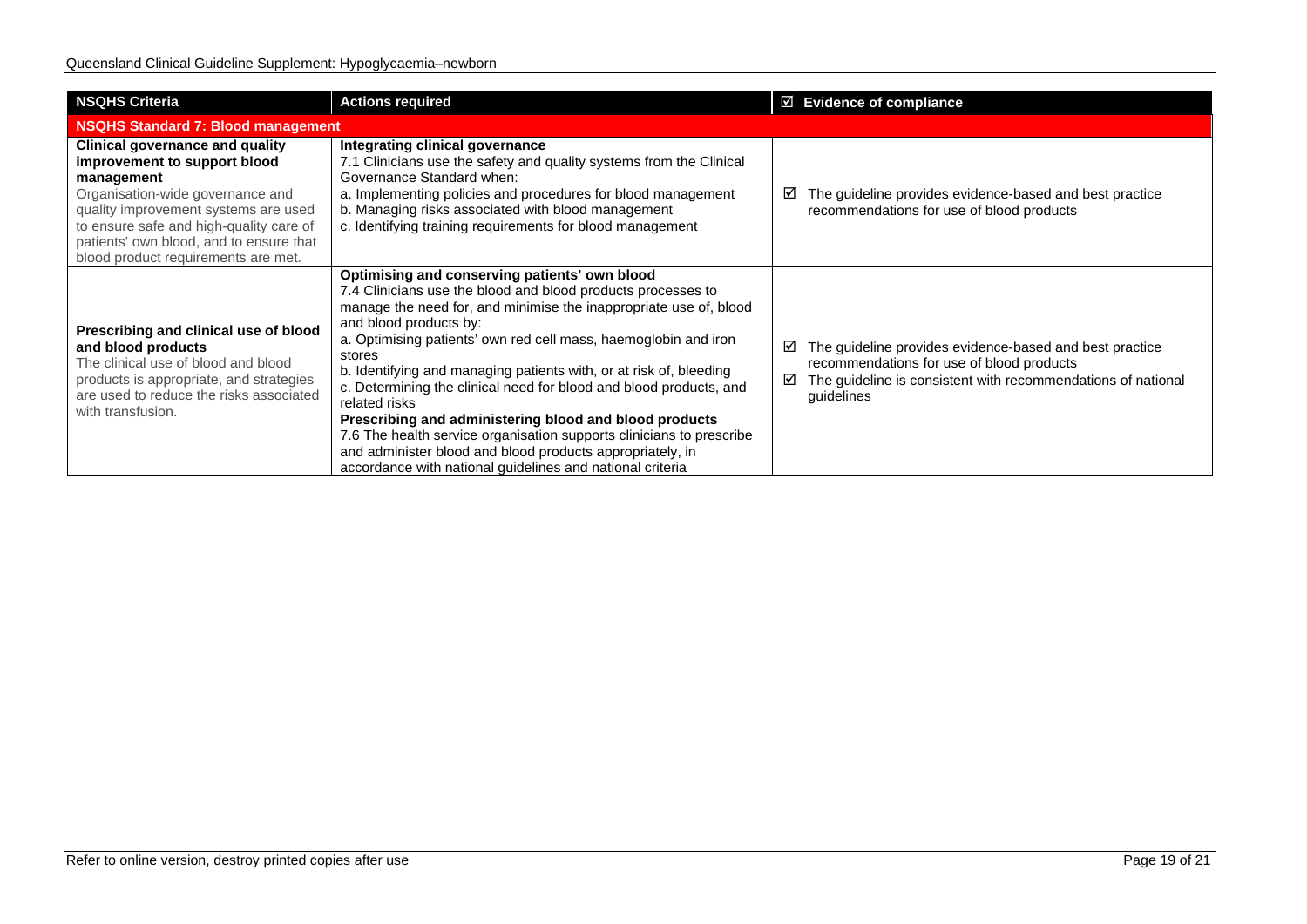| <b>NSQHS Criteria</b>                                                                                                                                                                                                                                                                         | <b>Actions required</b>                                                                                                                                                                                                                                                                                                                                                                                                                                                                                                                                                                                                                                                                                            | $\boxtimes$ Evidence of compliance                                                                                                                                                           |
|-----------------------------------------------------------------------------------------------------------------------------------------------------------------------------------------------------------------------------------------------------------------------------------------------|--------------------------------------------------------------------------------------------------------------------------------------------------------------------------------------------------------------------------------------------------------------------------------------------------------------------------------------------------------------------------------------------------------------------------------------------------------------------------------------------------------------------------------------------------------------------------------------------------------------------------------------------------------------------------------------------------------------------|----------------------------------------------------------------------------------------------------------------------------------------------------------------------------------------------|
| <b>NSQHS Standard 7: Blood management</b>                                                                                                                                                                                                                                                     |                                                                                                                                                                                                                                                                                                                                                                                                                                                                                                                                                                                                                                                                                                                    |                                                                                                                                                                                              |
| <b>Clinical governance and quality</b><br>improvement to support blood<br>management<br>Organisation-wide governance and<br>quality improvement systems are used<br>to ensure safe and high-quality care of<br>patients' own blood, and to ensure that<br>blood product requirements are met. | Integrating clinical governance<br>7.1 Clinicians use the safety and quality systems from the Clinical<br>Governance Standard when:<br>a. Implementing policies and procedures for blood management<br>b. Managing risks associated with blood management<br>c. Identifying training requirements for blood management                                                                                                                                                                                                                                                                                                                                                                                             | The guideline provides evidence-based and best practice<br>⊻<br>recommendations for use of blood products                                                                                    |
| Prescribing and clinical use of blood<br>and blood products<br>The clinical use of blood and blood<br>products is appropriate, and strategies<br>are used to reduce the risks associated<br>with transfusion.                                                                                 | Optimising and conserving patients' own blood<br>7.4 Clinicians use the blood and blood products processes to<br>manage the need for, and minimise the inappropriate use of, blood<br>and blood products by:<br>a. Optimising patients' own red cell mass, haemoglobin and iron<br>stores<br>b. Identifying and managing patients with, or at risk of, bleeding<br>c. Determining the clinical need for blood and blood products, and<br>related risks<br>Prescribing and administering blood and blood products<br>7.6 The health service organisation supports clinicians to prescribe<br>and administer blood and blood products appropriately, in<br>accordance with national guidelines and national criteria | The guideline provides evidence-based and best practice<br>☑<br>recommendations for use of blood products<br>The guideline is consistent with recommendations of national<br>☑<br>guidelines |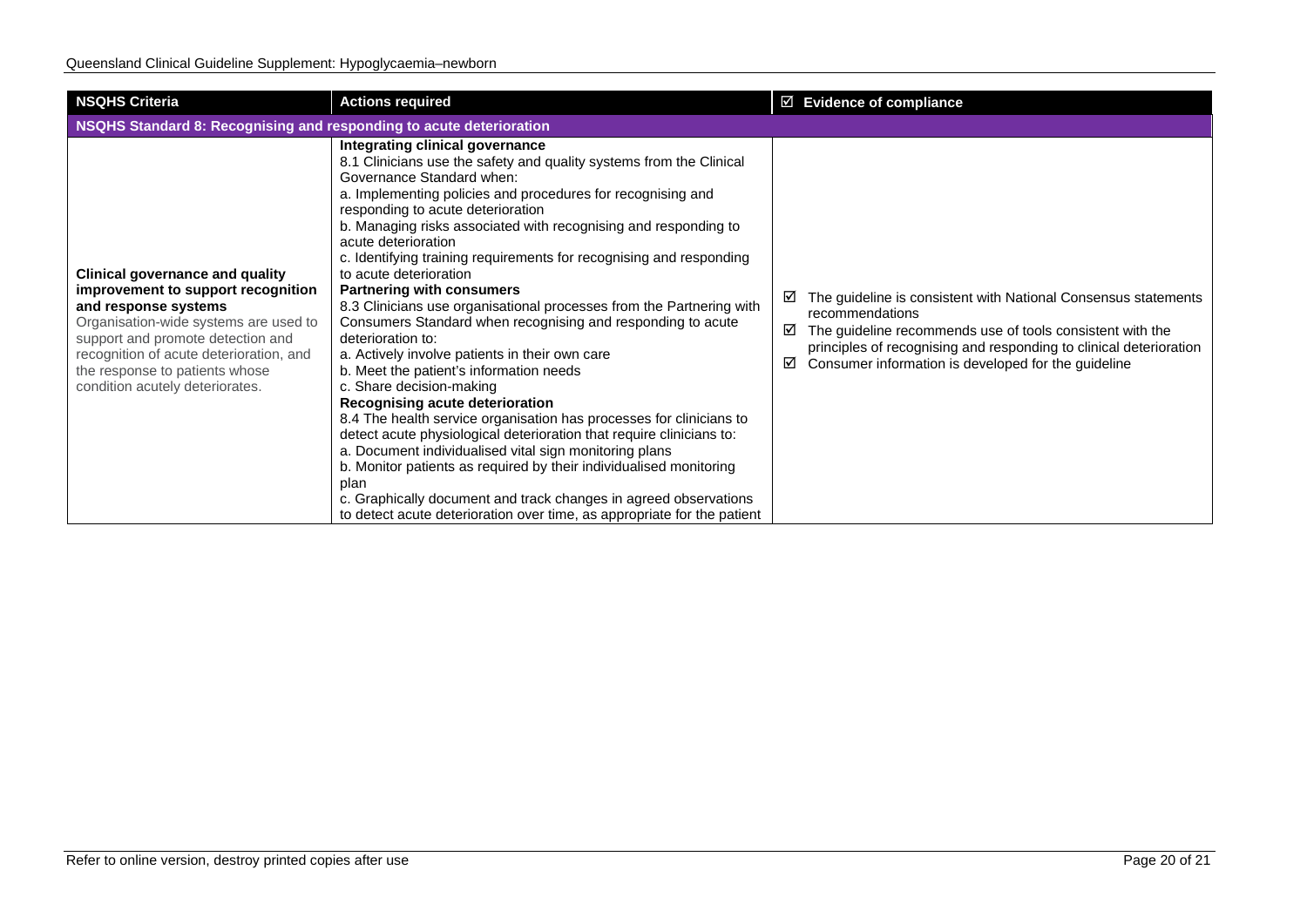| <b>NSQHS Criteria</b>                                                                                                                                                                                                                                                                              | <b>Actions required</b>                                                                                                                                                                                                                                                                                                                                                                                                                                                                                                                                                                                                                                                                                                                                                                                                                                                                                                                                                                                                                                                                                                                                                                                                              | $\boxtimes$ Evidence of compliance                                                                                                                                                                                                                                                         |  |  |
|----------------------------------------------------------------------------------------------------------------------------------------------------------------------------------------------------------------------------------------------------------------------------------------------------|--------------------------------------------------------------------------------------------------------------------------------------------------------------------------------------------------------------------------------------------------------------------------------------------------------------------------------------------------------------------------------------------------------------------------------------------------------------------------------------------------------------------------------------------------------------------------------------------------------------------------------------------------------------------------------------------------------------------------------------------------------------------------------------------------------------------------------------------------------------------------------------------------------------------------------------------------------------------------------------------------------------------------------------------------------------------------------------------------------------------------------------------------------------------------------------------------------------------------------------|--------------------------------------------------------------------------------------------------------------------------------------------------------------------------------------------------------------------------------------------------------------------------------------------|--|--|
| NSQHS Standard 8: Recognising and responding to acute deterioration                                                                                                                                                                                                                                |                                                                                                                                                                                                                                                                                                                                                                                                                                                                                                                                                                                                                                                                                                                                                                                                                                                                                                                                                                                                                                                                                                                                                                                                                                      |                                                                                                                                                                                                                                                                                            |  |  |
| <b>Clinical governance and quality</b><br>improvement to support recognition<br>and response systems<br>Organisation-wide systems are used to<br>support and promote detection and<br>recognition of acute deterioration, and<br>the response to patients whose<br>condition acutely deteriorates. | Integrating clinical governance<br>8.1 Clinicians use the safety and quality systems from the Clinical<br>Governance Standard when:<br>a. Implementing policies and procedures for recognising and<br>responding to acute deterioration<br>b. Managing risks associated with recognising and responding to<br>acute deterioration<br>c. Identifying training requirements for recognising and responding<br>to acute deterioration<br><b>Partnering with consumers</b><br>8.3 Clinicians use organisational processes from the Partnering with<br>Consumers Standard when recognising and responding to acute<br>deterioration to:<br>a. Actively involve patients in their own care<br>b. Meet the patient's information needs<br>c. Share decision-making<br>Recognising acute deterioration<br>8.4 The health service organisation has processes for clinicians to<br>detect acute physiological deterioration that require clinicians to:<br>a. Document individualised vital sign monitoring plans<br>b. Monitor patients as required by their individualised monitoring<br>plan<br>c. Graphically document and track changes in agreed observations<br>to detect acute deterioration over time, as appropriate for the patient | The guideline is consistent with National Consensus statements<br>⊻<br>recommendations<br>The guideline recommends use of tools consistent with the<br>☑<br>principles of recognising and responding to clinical deterioration<br>Consumer information is developed for the guideline<br>☑ |  |  |